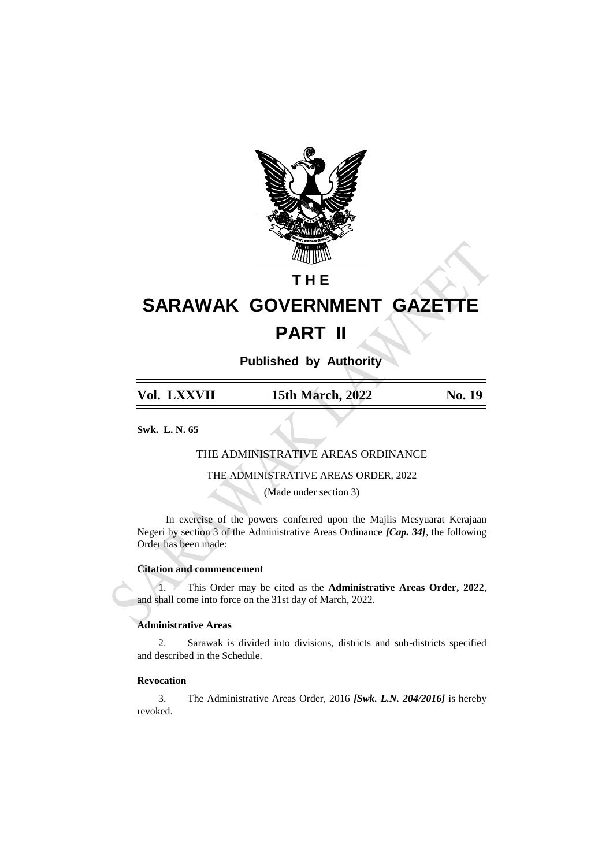

# **T H E**

# **SARAWAK GOVERNMENT GAZETTE PART II**

**Published by Authority**

| Vol. LXXVII | <b>15th March, 2022</b> | <b>No. 19</b> |
|-------------|-------------------------|---------------|
|             |                         |               |

**Swk. L. N. 65**

# THE ADMINISTRATIVE AREAS ORDINANCE

THE ADMINISTRATIVE AREAS ORDER, 2022

(Made under section 3)

In exercise of the powers conferred upon the Majlis Mesyuarat Kerajaan Negeri by section 3 of the Administrative Areas Ordinance *[Cap. 34]*, the following Order has been made:

# **Citation and commencement**

1. This Order may be cited as the **Administrative Areas Order, 2022**, and shall come into force on the 31st day of March, 2022.

# **Administrative Areas**

2. Sarawak is divided into divisions, districts and sub-districts specified and described in the Schedule.

# **Revocation**

3. The Administrative Areas Order, 2016 *[Swk. L.N. 204/2016]* is hereby revoked.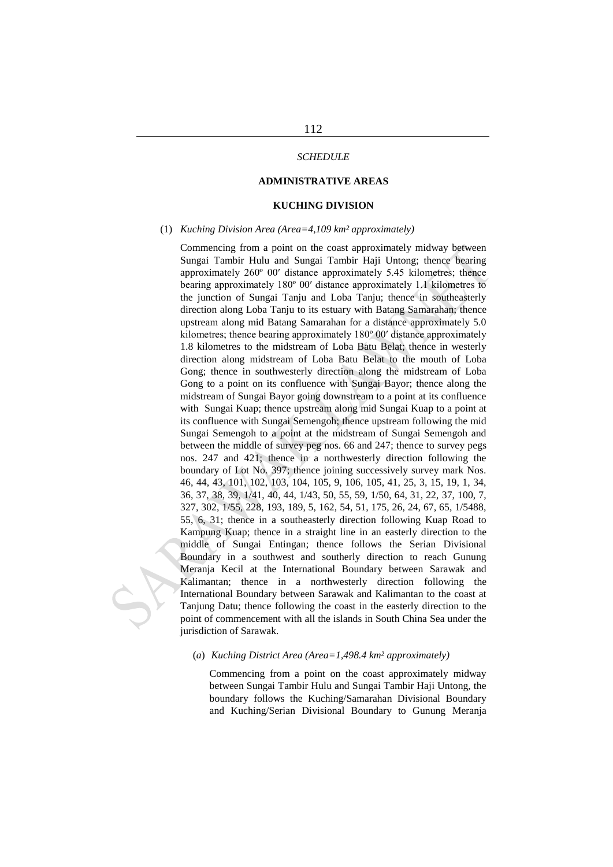#### *SCHEDULE*

## **ADMINISTRATIVE AREAS**

#### **KUCHING DIVISION**

#### (1) *Kuching Division Area (Area=4,109 km² approximately)*

Commencing from a point on the coast approximately midway between Sungai Tambir Hulu and Sungai Tambir Haji Untong; thence bearing approximately 260º 00′ distance approximately 5.45 kilometres; thence bearing approximately 180º 00′ distance approximately 1.1 kilometres to the junction of Sungai Tanju and Loba Tanju; thence in southeasterly direction along Loba Tanju to its estuary with Batang Samarahan; thence upstream along mid Batang Samarahan for a distance approximately 5.0 kilometres; thence bearing approximately 180º 00′ distance approximately 1.8 kilometres to the midstream of Loba Batu Belat; thence in westerly direction along midstream of Loba Batu Belat to the mouth of Loba Gong; thence in southwesterly direction along the midstream of Loba Gong to a point on its confluence with Sungai Bayor; thence along the midstream of Sungai Bayor going downstream to a point at its confluence with Sungai Kuap; thence upstream along mid Sungai Kuap to a point at its confluence with Sungai Semengoh; thence upstream following the mid Sungai Semengoh to a point at the midstream of Sungai Semengoh and between the middle of survey peg nos. 66 and 247; thence to survey pegs nos. 247 and 421; thence in a northwesterly direction following the boundary of Lot No. 397; thence joining successively survey mark Nos. 46, 44, 43, 101, 102, 103, 104, 105, 9, 106, 105, 41, 25, 3, 15, 19, 1, 34, 36, 37, 38, 39, 1/41, 40, 44, 1/43, 50, 55, 59, 1/50, 64, 31, 22, 37, 100, 7, 327, 302, 1/55, 228, 193, 189, 5, 162, 54, 51, 175, 26, 24, 67, 65, 1/5488, 55, 6, 31; thence in a southeasterly direction following Kuap Road to Kampung Kuap; thence in a straight line in an easterly direction to the middle of Sungai Entingan; thence follows the Serian Divisional Boundary in a southwest and southerly direction to reach Gunung Meranja Kecil at the International Boundary between Sarawak and Kalimantan; thence in a northwesterly direction following the International Boundary between Sarawak and Kalimantan to the coast at Tanjung Datu; thence following the coast in the easterly direction to the point of commencement with all the islands in South China Sea under the jurisdiction of Sarawak.

#### (*a*) *Kuching District Area (Area=1,498.4 km² approximately)*

Commencing from a point on the coast approximately midway between Sungai Tambir Hulu and Sungai Tambir Haji Untong, the boundary follows the Kuching/Samarahan Divisional Boundary and Kuching/Serian Divisional Boundary to Gunung Meranja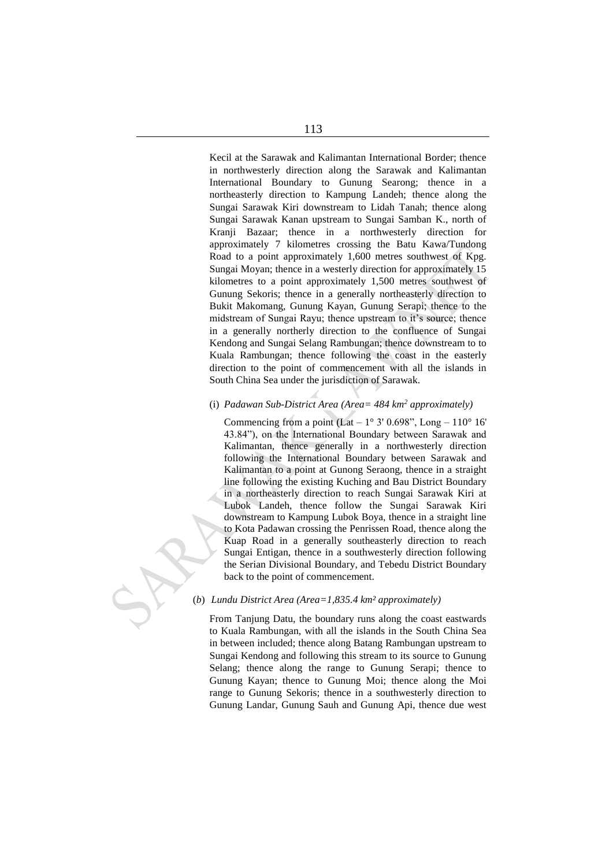Kecil at the Sarawak and Kalimantan International Border; thence in northwesterly direction along the Sarawak and Kalimantan International Boundary to Gunung Searong; thence in a northeasterly direction to Kampung Landeh; thence along the Sungai Sarawak Kiri downstream to Lidah Tanah; thence along Sungai Sarawak Kanan upstream to Sungai Samban K., north of Kranji Bazaar; thence in a northwesterly direction for approximately 7 kilometres crossing the Batu Kawa/Tundong Road to a point approximately 1,600 metres southwest of Kpg. Sungai Moyan; thence in a westerly direction for approximately 15 kilometres to a point approximately 1,500 metres southwest of Gunung Sekoris; thence in a generally northeasterly direction to Bukit Makomang, Gunung Kayan, Gunung Serapi; thence to the midstream of Sungai Rayu; thence upstream to it's source; thence in a generally northerly direction to the confluence of Sungai Kendong and Sungai Selang Rambungan; thence downstream to to Kuala Rambungan; thence following the coast in the easterly direction to the point of commencement with all the islands in South China Sea under the jurisdiction of Sarawak.

# (i) *Padawan Sub-District Area (Area= 484 km<sup>2</sup> approximately)*

Commencing from a point  $(Lat - 1^{\circ} 3' 0.698'')$ , Long  $- 110^{\circ} 16'$ 43.84"), on the International Boundary between Sarawak and Kalimantan, thence generally in a northwesterly direction following the International Boundary between Sarawak and Kalimantan to a point at Gunong Seraong, thence in a straight line following the existing Kuching and Bau District Boundary in a northeasterly direction to reach Sungai Sarawak Kiri at Lubok Landeh, thence follow the Sungai Sarawak Kiri downstream to Kampung Lubok Boya, thence in a straight line to Kota Padawan crossing the Penrissen Road, thence along the Kuap Road in a generally southeasterly direction to reach Sungai Entigan, thence in a southwesterly direction following the Serian Divisional Boundary, and Tebedu District Boundary back to the point of commencement.

#### (*b*) *Lundu District Area (Area=1,835.4 km² approximately)*

From Tanjung Datu, the boundary runs along the coast eastwards to Kuala Rambungan, with all the islands in the South China Sea in between included; thence along Batang Rambungan upstream to Sungai Kendong and following this stream to its source to Gunung Selang; thence along the range to Gunung Serapi; thence to Gunung Kayan; thence to Gunung Moi; thence along the Moi range to Gunung Sekoris; thence in a southwesterly direction to Gunung Landar, Gunung Sauh and Gunung Api, thence due west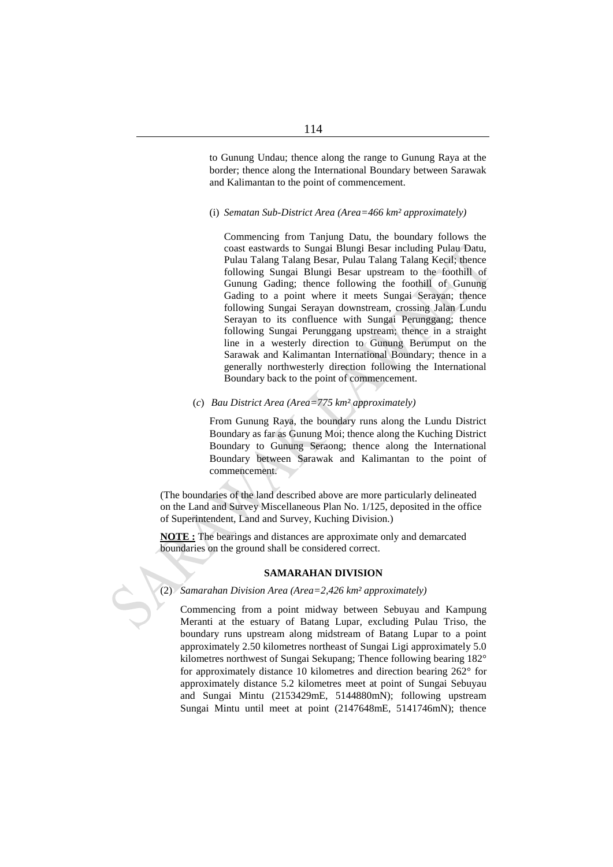to Gunung Undau; thence along the range to Gunung Raya at the border; thence along the International Boundary between Sarawak and Kalimantan to the point of commencement.

#### (i) *Sematan Sub-District Area (Area=466 km² approximately)*

Commencing from Tanjung Datu, the boundary follows the coast eastwards to Sungai Blungi Besar including Pulau Datu, Pulau Talang Talang Besar, Pulau Talang Talang Kecil; thence following Sungai Blungi Besar upstream to the foothill of Gunung Gading; thence following the foothill of Gunung Gading to a point where it meets Sungai Serayan; thence following Sungai Serayan downstream, crossing Jalan Lundu Serayan to its confluence with Sungai Perunggang; thence following Sungai Perunggang upstream; thence in a straight line in a westerly direction to Gunung Berumput on the Sarawak and Kalimantan International Boundary; thence in a generally northwesterly direction following the International Boundary back to the point of commencement.

# (*c*) *Bau District Area (Area=775 km² approximately)*

From Gunung Raya, the boundary runs along the Lundu District Boundary as far as Gunung Moi; thence along the Kuching District Boundary to Gunung Seraong; thence along the International Boundary between Sarawak and Kalimantan to the point of commencement.

(The boundaries of the land described above are more particularly delineated on the Land and Survey Miscellaneous Plan No. 1/125, deposited in the office of Superintendent, Land and Survey, Kuching Division.)

**NOTE :** The bearings and distances are approximate only and demarcated boundaries on the ground shall be considered correct.

#### **SAMARAHAN DIVISION**

#### (2) *Samarahan Division Area (Area=2,426 km² approximately)*

Commencing from a point midway between Sebuyau and Kampung Meranti at the estuary of Batang Lupar, excluding Pulau Triso, the boundary runs upstream along midstream of Batang Lupar to a point approximately 2.50 kilometres northeast of Sungai Ligi approximately 5.0 kilometres northwest of Sungai Sekupang; Thence following bearing 182° for approximately distance 10 kilometres and direction bearing 262° for approximately distance 5.2 kilometres meet at point of Sungai Sebuyau and Sungai Mintu (2153429mE, 5144880mN); following upstream Sungai Mintu until meet at point (2147648mE, 5141746mN); thence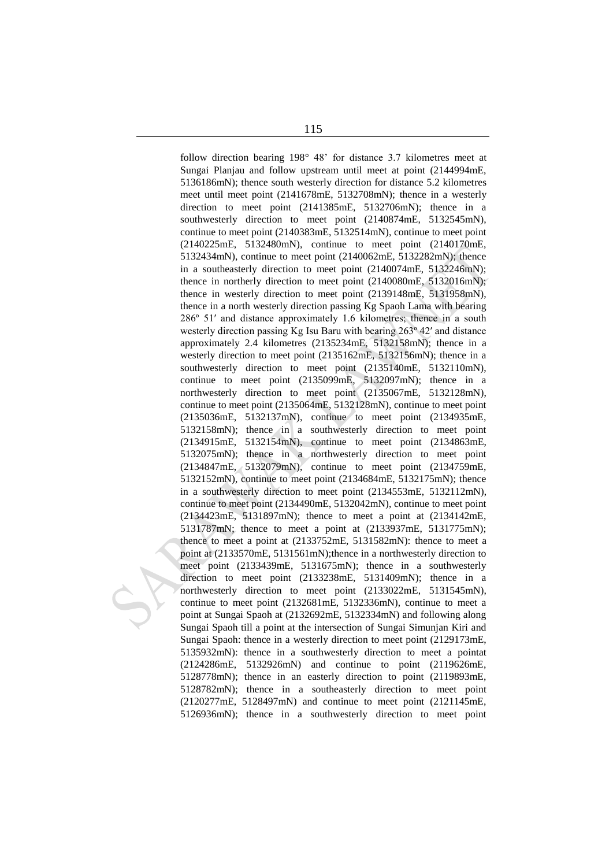follow direction bearing 198° 48' for distance 3.7 kilometres meet at Sungai Planjau and follow upstream until meet at point (2144994mE, 5136186mN); thence south westerly direction for distance 5.2 kilometres meet until meet point (2141678mE, 5132708mN); thence in a westerly direction to meet point (2141385mE, 5132706mN); thence in a southwesterly direction to meet point (2140874mE, 5132545mN), continue to meet point (2140383mE, 5132514mN), continue to meet point (2140225mE, 5132480mN), continue to meet point (2140170mE, 5132434mN), continue to meet point (2140062mE, 5132282mN); thence in a southeasterly direction to meet point (2140074mE, 5132246mN); thence in northerly direction to meet point (2140080mE, 5132016mN); thence in westerly direction to meet point (2139148mE, 5131958mN), thence in a north westerly direction passing Kg Spaoh Lama with bearing 286º 51′ and distance approximately 1.6 kilometres; thence in a south westerly direction passing Kg Isu Baru with bearing 263º 42′ and distance approximately 2.4 kilometres (2135234mE, 5132158mN); thence in a westerly direction to meet point (2135162mE, 5132156mN); thence in a southwesterly direction to meet point (2135140mE, 5132110mN), continue to meet point (2135099mE, 5132097mN); thence in a northwesterly direction to meet point (2135067mE, 5132128mN), continue to meet point (2135064mE, 5132128mN), continue to meet point (2135036mE, 5132137mN), continue to meet point (2134935mE, 5132158mN); thence in a southwesterly direction to meet point (2134915mE, 5132154mN), continue to meet point (2134863mE, 5132075mN); thence in a northwesterly direction to meet point (2134847mE, 5132079mN), continue to meet point (2134759mE, 5132152mN), continue to meet point (2134684mE, 5132175mN); thence in a southwesterly direction to meet point (2134553mE, 5132112mN), continue to meet point (2134490mE, 5132042mN), continue to meet point (2134423mE, 5131897mN); thence to meet a point at (2134142mE, 5131787mN; thence to meet a point at (2133937mE, 5131775mN); thence to meet a point at (2133752mE, 5131582mN): thence to meet a point at (2133570mE, 5131561mN);thence in a northwesterly direction to meet point (2133439mE, 5131675mN); thence in a southwesterly direction to meet point (2133238mE, 5131409mN); thence in a northwesterly direction to meet point (2133022mE, 5131545mN), continue to meet point (2132681mE, 5132336mN), continue to meet a point at Sungai Spaoh at (2132692mE, 5132334mN) and following along Sungai Spaoh till a point at the intersection of Sungai Simunjan Kiri and Sungai Spaoh: thence in a westerly direction to meet point (2129173mE, 5135932mN): thence in a southwesterly direction to meet a pointat (2124286mE, 5132926mN) and continue to point (2119626mE, 5128778mN); thence in an easterly direction to point (2119893mE, 5128782mN); thence in a southeasterly direction to meet point (2120277mE, 5128497mN) and continue to meet point (2121145mE, 5126936mN); thence in a southwesterly direction to meet point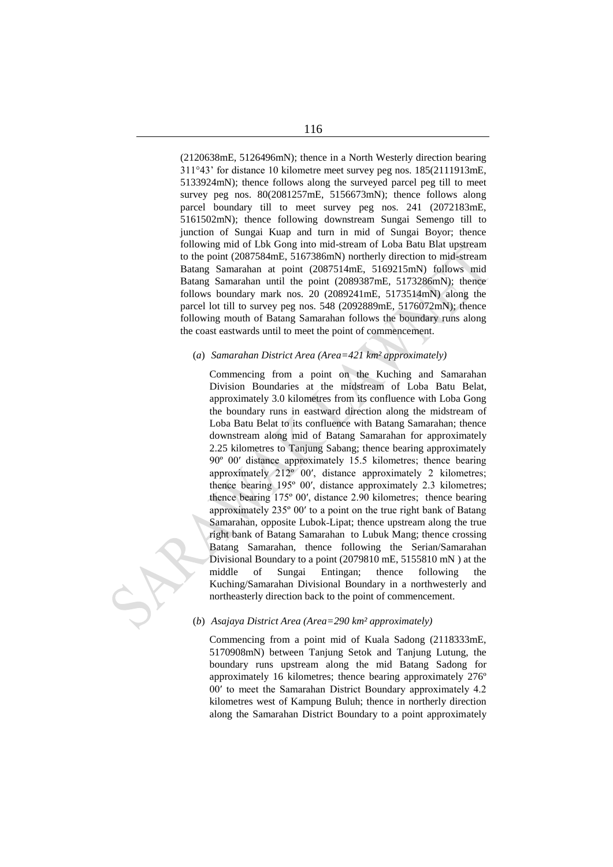(2120638mE, 5126496mN); thence in a North Westerly direction bearing 311°43' for distance 10 kilometre meet survey peg nos. 185(2111913mE, 5133924mN); thence follows along the surveyed parcel peg till to meet survey peg nos. 80(2081257mE, 5156673mN); thence follows along parcel boundary till to meet survey peg nos. 241 (2072183mE, 5161502mN); thence following downstream Sungai Semengo till to junction of Sungai Kuap and turn in mid of Sungai Boyor; thence following mid of Lbk Gong into mid-stream of Loba Batu Blat upstream to the point (2087584mE, 5167386mN) northerly direction to mid-stream Batang Samarahan at point (2087514mE, 5169215mN) follows mid Batang Samarahan until the point (2089387mE, 5173286mN); thence follows boundary mark nos. 20 (2089241mE, 5173514mN) along the parcel lot till to survey peg nos. 548 (2092889mE, 5176072mN); thence following mouth of Batang Samarahan follows the boundary runs along the coast eastwards until to meet the point of commencement.

#### (*a*) *Samarahan District Area (Area=421 km² approximately)*

Commencing from a point on the Kuching and Samarahan Division Boundaries at the midstream of Loba Batu Belat, approximately 3.0 kilometres from its confluence with Loba Gong the boundary runs in eastward direction along the midstream of Loba Batu Belat to its confluence with Batang Samarahan; thence downstream along mid of Batang Samarahan for approximately 2.25 kilometres to Tanjung Sabang; thence bearing approximately 90º 00′ distance approximately 15.5 kilometres; thence bearing approximately 212º 00′, distance approximately 2 kilometres; thence bearing 195º 00′, distance approximately 2.3 kilometres; thence bearing 175º 00′, distance 2.90 kilometres; thence bearing approximately 235º 00′ to a point on the true right bank of Batang Samarahan, opposite Lubok-Lipat; thence upstream along the true right bank of Batang Samarahan to Lubuk Mang; thence crossing Batang Samarahan, thence following the Serian/Samarahan Divisional Boundary to a point (2079810 mE, 5155810 mN) at the middle of Sungai Entingan; thence following the Kuching/Samarahan Divisional Boundary in a northwesterly and northeasterly direction back to the point of commencement.

#### (*b*) *Asajaya District Area (Area=290 km² approximately)*

Commencing from a point mid of Kuala Sadong (2118333mE, 5170908mN) between Tanjung Setok and Tanjung Lutung, the boundary runs upstream along the mid Batang Sadong for approximately 16 kilometres; thence bearing approximately 276º 00′ to meet the Samarahan District Boundary approximately 4.2 kilometres west of Kampung Buluh; thence in northerly direction along the Samarahan District Boundary to a point approximately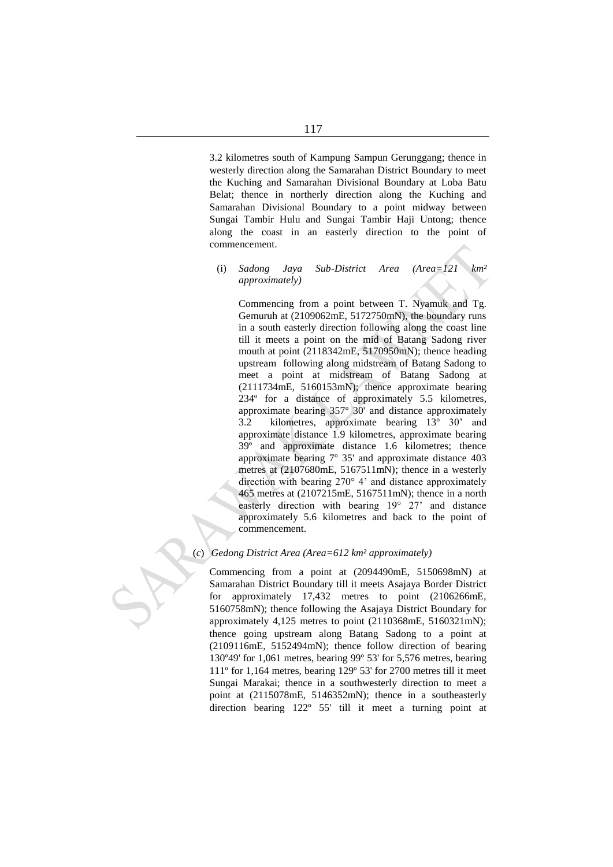3.2 kilometres south of Kampung Sampun Gerunggang; thence in westerly direction along the Samarahan District Boundary to meet the Kuching and Samarahan Divisional Boundary at Loba Batu Belat; thence in northerly direction along the Kuching and Samarahan Divisional Boundary to a point midway between Sungai Tambir Hulu and Sungai Tambir Haji Untong; thence along the coast in an easterly direction to the point of commencement.

(i) *Sadong Jaya Sub-District Area (Area=121 km² approximately)*

Commencing from a point between T. Nyamuk and Tg. Gemuruh at (2109062mE, 5172750mN), the boundary runs in a south easterly direction following along the coast line till it meets a point on the mid of Batang Sadong river mouth at point (2118342mE, 5170950mN); thence heading upstream following along midstream of Batang Sadong to meet a point at midstream of Batang Sadong at (2111734mE, 5160153mN); thence approximate bearing 234º for a distance of approximately 5.5 kilometres, approximate bearing 357º 30' and distance approximately 3.2 kilometres, approximate bearing 13º 30' and approximate distance 1.9 kilometres, approximate bearing 39º and approximate distance 1.6 kilometres; thence approximate bearing 7º 35' and approximate distance 403 metres at (2107680mE, 5167511mN); thence in a westerly direction with bearing 270° 4' and distance approximately 465 metres at (2107215mE, 5167511mN); thence in a north easterly direction with bearing 19° 27' and distance approximately 5.6 kilometres and back to the point of commencement.

# (*c*) *Gedong District Area (Area=612 km² approximately)*

Commencing from a point at (2094490mE, 5150698mN) at Samarahan District Boundary till it meets Asajaya Border District for approximately 17,432 metres to point (2106266mE, 5160758mN); thence following the Asajaya District Boundary for approximately 4,125 metres to point (2110368mE, 5160321mN); thence going upstream along Batang Sadong to a point at (2109116mE, 5152494mN); thence follow direction of bearing 130º49' for 1,061 metres, bearing 99º 53' for 5,576 metres, bearing 111º for 1,164 metres, bearing 129º 53' for 2700 metres till it meet Sungai Marakai; thence in a southwesterly direction to meet a point at (2115078mE, 5146352mN); thence in a southeasterly direction bearing 122º 55' till it meet a turning point at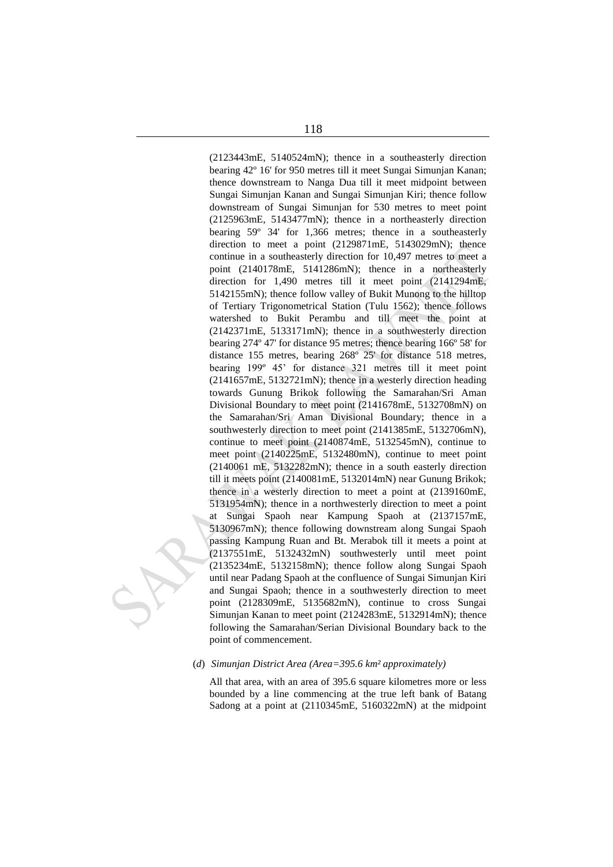(2123443mE, 5140524mN); thence in a southeasterly direction bearing 42º 16' for 950 metres till it meet Sungai Simunjan Kanan; thence downstream to Nanga Dua till it meet midpoint between Sungai Simunjan Kanan and Sungai Simunjan Kiri; thence follow downstream of Sungai Simunjan for 530 metres to meet point (2125963mE, 5143477mN); thence in a northeasterly direction bearing 59º 34' for 1,366 metres; thence in a southeasterly direction to meet a point (2129871mE, 5143029mN); thence continue in a southeasterly direction for 10,497 metres to meet a point (2140178mE, 5141286mN); thence in a northeasterly direction for 1,490 metres till it meet point (2141294mE, 5142155mN); thence follow valley of Bukit Munong to the hilltop of Tertiary Trigonometrical Station (Tulu 1562); thence follows watershed to Bukit Perambu and till meet the point at (2142371mE, 5133171mN); thence in a southwesterly direction bearing 274º 47' for distance 95 metres; thence bearing 166º 58' for distance 155 metres, bearing 268º 25' for distance 518 metres, bearing 199º 45' for distance 321 metres till it meet point (2141657mE, 5132721mN); thence in a westerly direction heading towards Gunung Brikok following the Samarahan/Sri Aman Divisional Boundary to meet point (2141678mE, 5132708mN) on the Samarahan/Sri Aman Divisional Boundary; thence in a southwesterly direction to meet point (2141385mE, 5132706mN), continue to meet point (2140874mE, 5132545mN), continue to meet point (2140225mE, 5132480mN), continue to meet point (2140061 mE, 5132282mN); thence in a south easterly direction till it meets point (2140081mE, 5132014mN) near Gunung Brikok; thence in a westerly direction to meet a point at (2139160mE, 5131954mN); thence in a northwesterly direction to meet a point at Sungai Spaoh near Kampung Spaoh at (2137157mE, 5130967mN); thence following downstream along Sungai Spaoh passing Kampung Ruan and Bt. Merabok till it meets a point at (2137551mE, 5132432mN) southwesterly until meet point (2135234mE, 5132158mN); thence follow along Sungai Spaoh until near Padang Spaoh at the confluence of Sungai Simunjan Kiri and Sungai Spaoh; thence in a southwesterly direction to meet point (2128309mE, 5135682mN), continue to cross Sungai Simunjan Kanan to meet point (2124283mE, 5132914mN); thence following the Samarahan/Serian Divisional Boundary back to the point of commencement.

## (*d*) *Simunjan District Area (Area=395.6 km² approximately)*

All that area, with an area of 395.6 square kilometres more or less bounded by a line commencing at the true left bank of Batang Sadong at a point at (2110345mE, 5160322mN) at the midpoint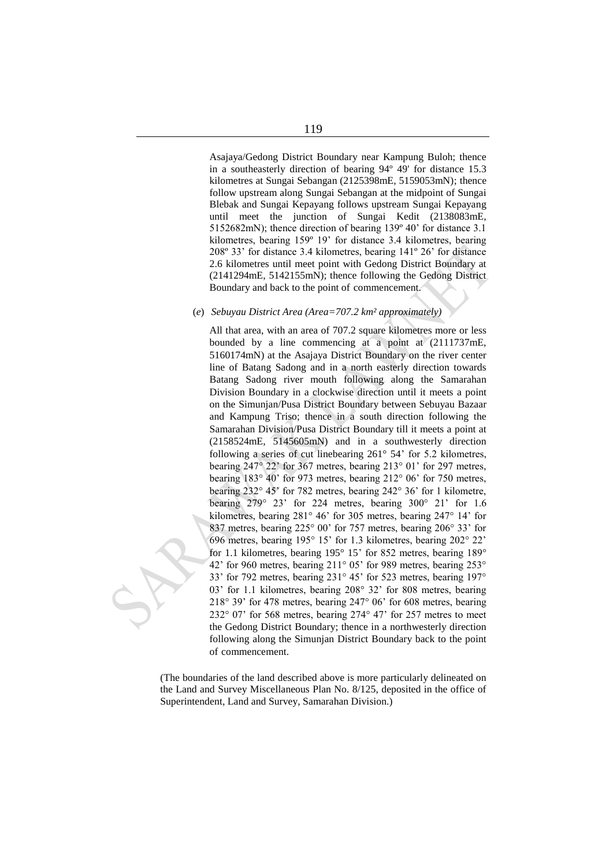Asajaya/Gedong District Boundary near Kampung Buloh; thence in a southeasterly direction of bearing 94º 49' for distance 15.3 kilometres at Sungai Sebangan (2125398mE, 5159053mN); thence follow upstream along Sungai Sebangan at the midpoint of Sungai Blebak and Sungai Kepayang follows upstream Sungai Kepayang until meet the junction of Sungai Kedit (2138083mE, 5152682mN); thence direction of bearing 139º 40' for distance 3.1 kilometres, bearing 159º 19' for distance 3.4 kilometres, bearing 208º 33' for distance 3.4 kilometres, bearing 141º 26' for distance 2.6 kilometres until meet point with Gedong District Boundary at (2141294mE, 5142155mN); thence following the Gedong District

#### (*e*) *Sebuyau District Area (Area=707.2 km² approximately)*

Boundary and back to the point of commencement.

All that area, with an area of 707.2 square kilometres more or less bounded by a line commencing at a point at (2111737mE, 5160174mN) at the Asajaya District Boundary on the river center line of Batang Sadong and in a north easterly direction towards Batang Sadong river mouth following along the Samarahan Division Boundary in a clockwise direction until it meets a point on the Simunjan/Pusa District Boundary between Sebuyau Bazaar and Kampung Triso; thence in a south direction following the Samarahan Division/Pusa District Boundary till it meets a point at (2158524mE, 5145605mN) and in a southwesterly direction following a series of cut linebearing 261° 54' for 5.2 kilometres, bearing 247° 22' for 367 metres, bearing 213° 01' for 297 metres, bearing 183° 40' for 973 metres, bearing 212° 06' for 750 metres, bearing 232° 45' for 782 metres, bearing 242° 36' for 1 kilometre, bearing  $279^\circ$  23' for 224 metres, bearing  $300^\circ$  21' for 1.6 kilometres, bearing 281° 46' for 305 metres, bearing 247° 14' for 837 metres, bearing 225° 00' for 757 metres, bearing 206° 33' for 696 metres, bearing 195° 15' for 1.3 kilometres, bearing 202° 22' for 1.1 kilometres, bearing 195° 15' for 852 metres, bearing 189° 42' for 960 metres, bearing 211° 05' for 989 metres, bearing 253° 33' for 792 metres, bearing 231° 45' for 523 metres, bearing 197° 03' for 1.1 kilometres, bearing 208° 32' for 808 metres, bearing 218° 39' for 478 metres, bearing 247° 06' for 608 metres, bearing 232° 07' for 568 metres, bearing 274° 47' for 257 metres to meet the Gedong District Boundary; thence in a northwesterly direction following along the Simunjan District Boundary back to the point of commencement.

(The boundaries of the land described above is more particularly delineated on the Land and Survey Miscellaneous Plan No. 8/125, deposited in the office of Superintendent, Land and Survey, Samarahan Division.)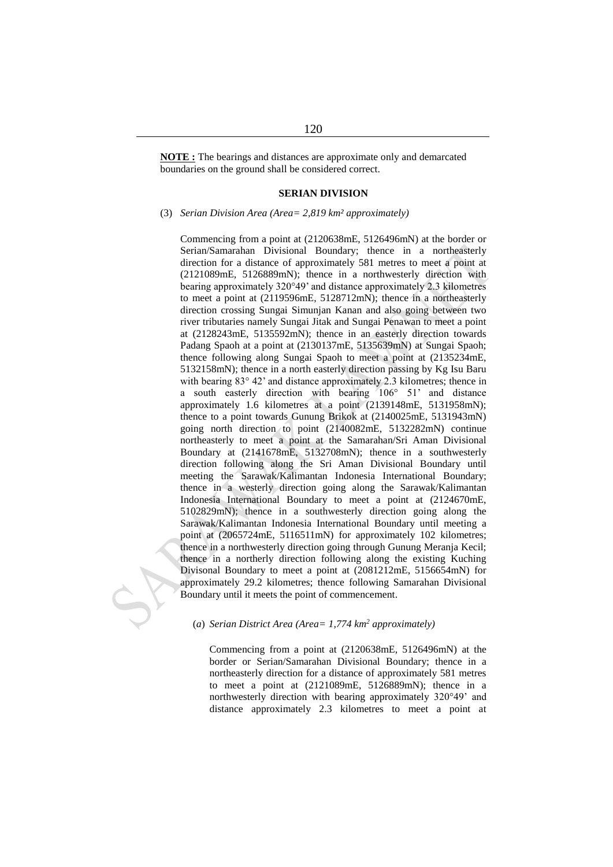**NOTE :** The bearings and distances are approximate only and demarcated boundaries on the ground shall be considered correct.

#### **SERIAN DIVISION**

(3) *Serian Division Area (Area= 2,819 km² approximately)*

Commencing from a point at (2120638mE, 5126496mN) at the border or Serian/Samarahan Divisional Boundary; thence in a northeasterly direction for a distance of approximately 581 metres to meet a point at (2121089mE, 5126889mN); thence in a northwesterly direction with bearing approximately 320°49' and distance approximately 2.3 kilometres to meet a point at (2119596mE, 5128712mN); thence in a northeasterly direction crossing Sungai Simunjan Kanan and also going between two river tributaries namely Sungai Jitak and Sungai Penawan to meet a point at (2128243mE, 5135592mN); thence in an easterly direction towards Padang Spaoh at a point at (2130137mE, 5135639mN) at Sungai Spaoh; thence following along Sungai Spaoh to meet a point at (2135234mE, 5132158mN); thence in a north easterly direction passing by Kg Isu Baru with bearing 83° 42' and distance approximately 2.3 kilometres; thence in a south easterly direction with bearing 106° 51' and distance approximately 1.6 kilometres at a point (2139148mE, 5131958mN); thence to a point towards Gunung Brikok at (2140025mE, 5131943mN) going north direction to point (2140082mE, 5132282mN) continue northeasterly to meet a point at the Samarahan/Sri Aman Divisional Boundary at (2141678mE, 5132708mN); thence in a southwesterly direction following along the Sri Aman Divisional Boundary until meeting the Sarawak/Kalimantan Indonesia International Boundary; thence in a westerly direction going along the Sarawak/Kalimantan Indonesia International Boundary to meet a point at (2124670mE, 5102829mN); thence in a southwesterly direction going along the Sarawak/Kalimantan Indonesia International Boundary until meeting a point at (2065724mE, 5116511mN) for approximately 102 kilometres; thence in a northwesterly direction going through Gunung Meranja Kecil; thence in a northerly direction following along the existing Kuching Divisonal Boundary to meet a point at (2081212mE, 5156654mN) for approximately 29.2 kilometres; thence following Samarahan Divisional Boundary until it meets the point of commencement.

# (*a*) *Serian District Area (Area= 1,774 km<sup>2</sup> approximately)*

Commencing from a point at (2120638mE, 5126496mN) at the border or Serian/Samarahan Divisional Boundary; thence in a northeasterly direction for a distance of approximately 581 metres to meet a point at (2121089mE, 5126889mN); thence in a northwesterly direction with bearing approximately 320°49' and distance approximately 2.3 kilometres to meet a point at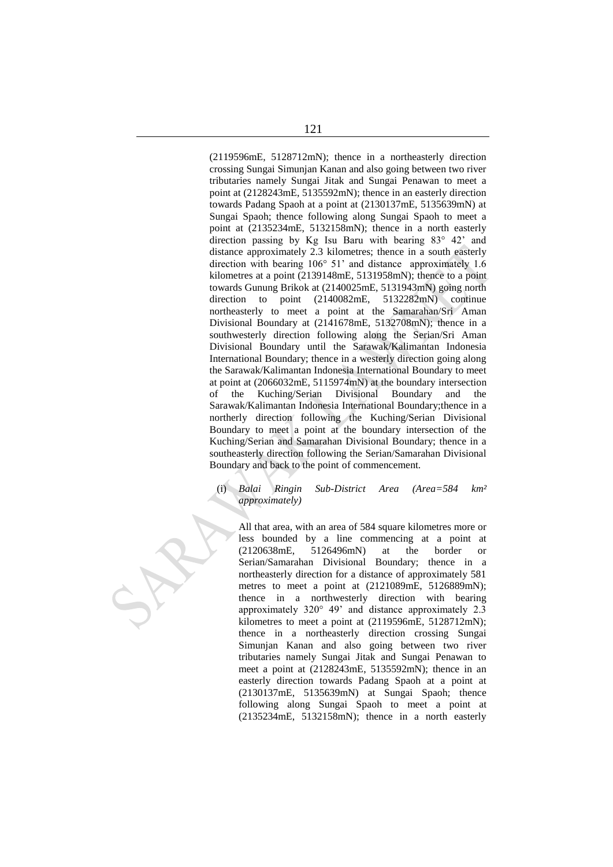(2119596mE, 5128712mN); thence in a northeasterly direction crossing Sungai Simunjan Kanan and also going between two river tributaries namely Sungai Jitak and Sungai Penawan to meet a point at (2128243mE, 5135592mN); thence in an easterly direction towards Padang Spaoh at a point at (2130137mE, 5135639mN) at Sungai Spaoh; thence following along Sungai Spaoh to meet a point at (2135234mE, 5132158mN); thence in a north easterly direction passing by Kg Isu Baru with bearing 83° 42' and distance approximately 2.3 kilometres; thence in a south easterly direction with bearing 106° 51' and distance approximately 1.6 kilometres at a point (2139148mE, 5131958mN); thence to a point towards Gunung Brikok at (2140025mE, 5131943mN) going north direction to point (2140082mE, 5132282mN) continue northeasterly to meet a point at the Samarahan/Sri Aman Divisional Boundary at (2141678mE, 5132708mN); thence in a southwesterly direction following along the Serian/Sri Aman Divisional Boundary until the Sarawak/Kalimantan Indonesia International Boundary; thence in a westerly direction going along the Sarawak/Kalimantan Indonesia International Boundary to meet at point at (2066032mE, 5115974mN) at the boundary intersection of the Kuching/Serian Divisional Boundary and the Sarawak/Kalimantan Indonesia International Boundary;thence in a northerly direction following the Kuching/Serian Divisional Boundary to meet a point at the boundary intersection of the Kuching/Serian and Samarahan Divisional Boundary; thence in a southeasterly direction following the Serian/Samarahan Divisional Boundary and back to the point of commencement.

# (i) *Balai Ringin Sub-District Area (Area=584 km² approximately)*

All that area, with an area of 584 square kilometres more or less bounded by a line commencing at a point at (2120638mE, 5126496mN) at the border or Serian/Samarahan Divisional Boundary; thence in a northeasterly direction for a distance of approximately 581 metres to meet a point at (2121089mE, 5126889mN); thence in a northwesterly direction with bearing approximately 320° 49' and distance approximately 2.3 kilometres to meet a point at (2119596mE, 5128712mN); thence in a northeasterly direction crossing Sungai Simunjan Kanan and also going between two river tributaries namely Sungai Jitak and Sungai Penawan to meet a point at (2128243mE, 5135592mN); thence in an easterly direction towards Padang Spaoh at a point at (2130137mE, 5135639mN) at Sungai Spaoh; thence following along Sungai Spaoh to meet a point at (2135234mE, 5132158mN); thence in a north easterly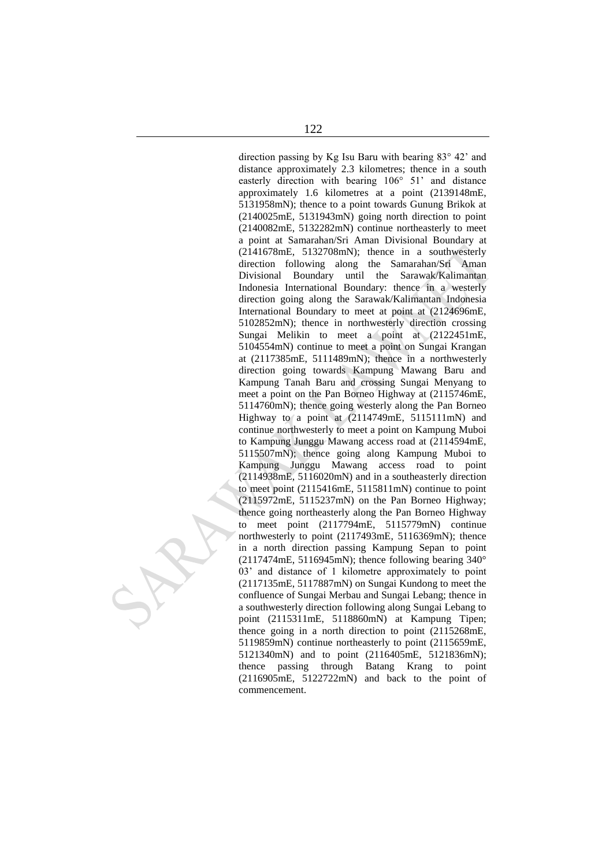direction passing by Kg Isu Baru with bearing 83° 42' and distance approximately 2.3 kilometres; thence in a south easterly direction with bearing 106° 51' and distance approximately 1.6 kilometres at a point (2139148mE, 5131958mN); thence to a point towards Gunung Brikok at (2140025mE, 5131943mN) going north direction to point (2140082mE, 5132282mN) continue northeasterly to meet a point at Samarahan/Sri Aman Divisional Boundary at (2141678mE, 5132708mN); thence in a southwesterly direction following along the Samarahan/Sri Aman Divisional Boundary until the Sarawak/Kalimantan Indonesia International Boundary: thence in a westerly direction going along the Sarawak/Kalimantan Indonesia International Boundary to meet at point at (2124696mE, 5102852mN); thence in northwesterly direction crossing Sungai Melikin to meet a point at (2122451mE, 5104554mN) continue to meet a point on Sungai Krangan at (2117385mE, 5111489mN); thence in a northwesterly direction going towards Kampung Mawang Baru and Kampung Tanah Baru and crossing Sungai Menyang to meet a point on the Pan Borneo Highway at (2115746mE, 5114760mN); thence going westerly along the Pan Borneo Highway to a point at (2114749mE, 5115111mN) and continue northwesterly to meet a point on Kampung Muboi to Kampung Junggu Mawang access road at (2114594mE, 5115507mN); thence going along Kampung Muboi to Kampung Junggu Mawang access road to point (2114938mE, 5116020mN) and in a southeasterly direction to meet point (2115416mE, 5115811mN) continue to point (2115972mE, 5115237mN) on the Pan Borneo Highway; thence going northeasterly along the Pan Borneo Highway to meet point (2117794mE, 5115779mN) continue northwesterly to point (2117493mE, 5116369mN); thence in a north direction passing Kampung Sepan to point (2117474mE, 5116945mN); thence following bearing  $340^{\circ}$ 03' and distance of 1 kilometre approximately to point (2117135mE, 5117887mN) on Sungai Kundong to meet the confluence of Sungai Merbau and Sungai Lebang; thence in a southwesterly direction following along Sungai Lebang to point (2115311mE, 5118860mN) at Kampung Tipen; thence going in a north direction to point (2115268mE, 5119859mN) continue northeasterly to point (2115659mE, 5121340mN) and to point (2116405mE, 5121836mN); thence passing through Batang Krang to point (2116905mE, 5122722mN) and back to the point of commencement.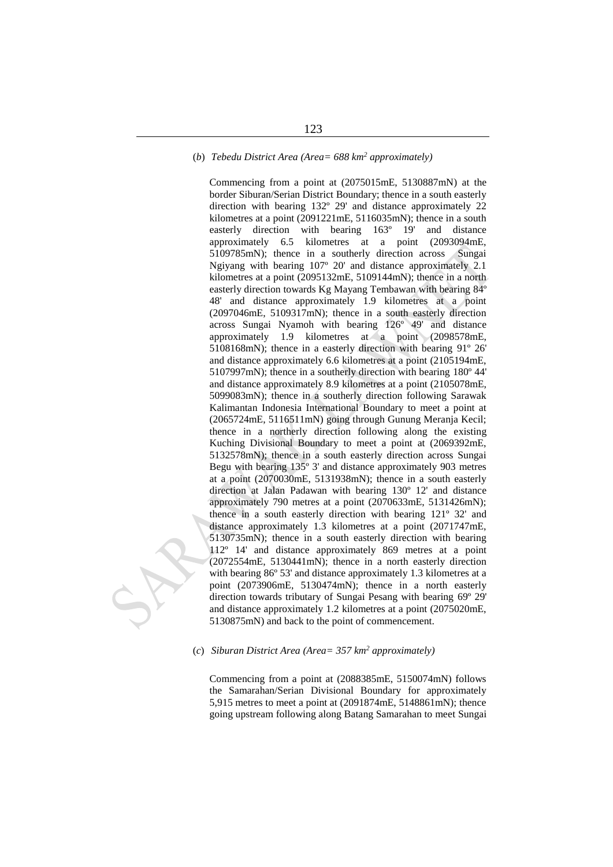# (*b*) *Tebedu District Area (Area= 688 km<sup>2</sup> approximately)*

Commencing from a point at (2075015mE, 5130887mN) at the border Siburan/Serian District Boundary; thence in a south easterly direction with bearing 132º 29' and distance approximately 22 kilometres at a point (2091221mE, 5116035mN); thence in a south easterly direction with bearing 163º 19' and distance approximately 6.5 kilometres at a point (2093094mE, 5109785mN); thence in a southerly direction across Sungai Ngiyang with bearing 107º 20' and distance approximately 2.1 kilometres at a point (2095132mE, 5109144mN); thence in a north easterly direction towards Kg Mayang Tembawan with bearing 84º 48' and distance approximately 1.9 kilometres at a point (2097046mE, 5109317mN); thence in a south easterly direction across Sungai Nyamoh with bearing 126º 49' and distance approximately 1.9 kilometres at a point (2098578mE, 5108168mN); thence in a easterly direction with bearing 91º 26' and distance approximately 6.6 kilometres at a point (2105194mE, 5107997mN); thence in a southerly direction with bearing 180º 44' and distance approximately 8.9 kilometres at a point (2105078mE, 5099083mN); thence in a southerly direction following Sarawak Kalimantan Indonesia International Boundary to meet a point at (2065724mE, 5116511mN) going through Gunung Meranja Kecil; thence in a northerly direction following along the existing Kuching Divisional Boundary to meet a point at (2069392mE, 5132578mN); thence in a south easterly direction across Sungai Begu with bearing 135º 3' and distance approximately 903 metres at a point (2070030mE, 5131938mN); thence in a south easterly direction at Jalan Padawan with bearing 130º 12' and distance approximately 790 metres at a point (2070633mE, 5131426mN); thence in a south easterly direction with bearing 121º 32' and distance approximately 1.3 kilometres at a point (2071747mE, 5130735mN); thence in a south easterly direction with bearing 112º 14' and distance approximately 869 metres at a point (2072554mE, 5130441mN); thence in a north easterly direction with bearing 86º 53' and distance approximately 1.3 kilometres at a point (2073906mE, 5130474mN); thence in a north easterly direction towards tributary of Sungai Pesang with bearing 69º 29' and distance approximately 1.2 kilometres at a point (2075020mE, 5130875mN) and back to the point of commencement.

# (*c*) *Siburan District Area (Area= 357 km<sup>2</sup> approximately)*

Commencing from a point at (2088385mE, 5150074mN) follows the Samarahan/Serian Divisional Boundary for approximately 5,915 metres to meet a point at (2091874mE, 5148861mN); thence going upstream following along Batang Samarahan to meet Sungai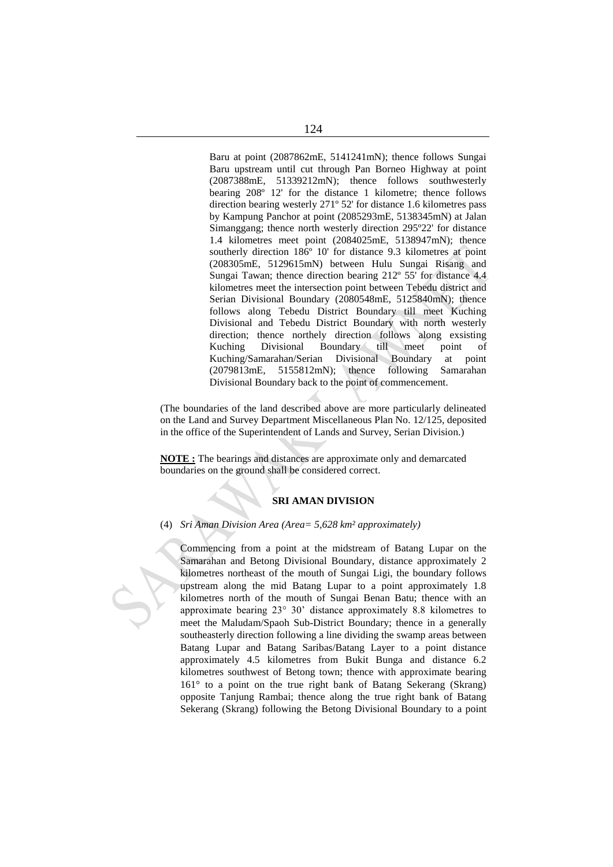Baru at point (2087862mE, 5141241mN); thence follows Sungai Baru upstream until cut through Pan Borneo Highway at point (2087388mE, 51339212mN); thence follows southwesterly bearing 208º 12' for the distance 1 kilometre; thence follows direction bearing westerly 271º 52' for distance 1.6 kilometres pass by Kampung Panchor at point (2085293mE, 5138345mN) at Jalan Simanggang; thence north westerly direction 295º22' for distance 1.4 kilometres meet point (2084025mE, 5138947mN); thence southerly direction 186º 10' for distance 9.3 kilometres at point (208305mE, 5129615mN) between Hulu Sungai Risang and Sungai Tawan; thence direction bearing 212º 55' for distance 4.4 kilometres meet the intersection point between Tebedu district and Serian Divisional Boundary (2080548mE, 5125840mN); thence follows along Tebedu District Boundary till meet Kuching Divisional and Tebedu District Boundary with north westerly direction; thence northely direction follows along exsisting Kuching Divisional Boundary till meet point of Kuching/Samarahan/Serian Divisional Boundary at point (2079813mE, 5155812mN); thence following Samarahan Divisional Boundary back to the point of commencement.

(The boundaries of the land described above are more particularly delineated on the Land and Survey Department Miscellaneous Plan No. 12/125, deposited in the office of the Superintendent of Lands and Survey, Serian Division.)

**NOTE :** The bearings and distances are approximate only and demarcated boundaries on the ground shall be considered correct.

# **SRI AMAN DIVISION**

(4) *Sri Aman Division Area (Area= 5,628 km² approximately)*

Commencing from a point at the midstream of Batang Lupar on the Samarahan and Betong Divisional Boundary, distance approximately 2 kilometres northeast of the mouth of Sungai Ligi, the boundary follows upstream along the mid Batang Lupar to a point approximately 1.8 kilometres north of the mouth of Sungai Benan Batu; thence with an approximate bearing 23° 30' distance approximately 8.8 kilometres to meet the Maludam/Spaoh Sub-District Boundary; thence in a generally southeasterly direction following a line dividing the swamp areas between Batang Lupar and Batang Saribas/Batang Layer to a point distance approximately 4.5 kilometres from Bukit Bunga and distance 6.2 kilometres southwest of Betong town; thence with approximate bearing 161° to a point on the true right bank of Batang Sekerang (Skrang) opposite Tanjung Rambai; thence along the true right bank of Batang Sekerang (Skrang) following the Betong Divisional Boundary to a point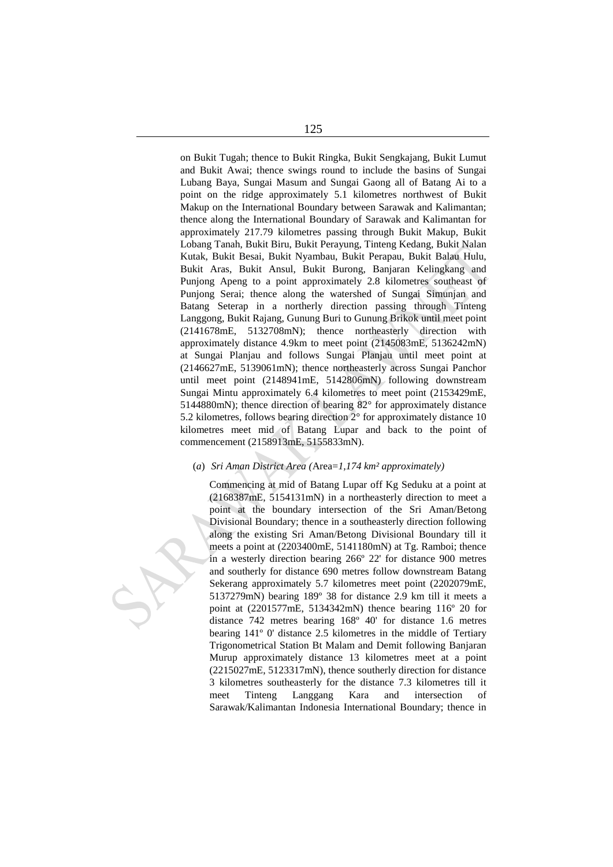on Bukit Tugah; thence to Bukit Ringka, Bukit Sengkajang, Bukit Lumut and Bukit Awai; thence swings round to include the basins of Sungai Lubang Baya, Sungai Masum and Sungai Gaong all of Batang Ai to a point on the ridge approximately 5.1 kilometres northwest of Bukit Makup on the International Boundary between Sarawak and Kalimantan; thence along the International Boundary of Sarawak and Kalimantan for approximately 217.79 kilometres passing through Bukit Makup, Bukit Lobang Tanah, Bukit Biru, Bukit Perayung, Tinteng Kedang, Bukit Nalan Kutak, Bukit Besai, Bukit Nyambau, Bukit Perapau, Bukit Balau Hulu, Bukit Aras, Bukit Ansul, Bukit Burong, Banjaran Kelingkang and Punjong Apeng to a point approximately 2.8 kilometres southeast of Punjong Serai; thence along the watershed of Sungai Simunjan and Batang Seterap in a northerly direction passing through Tinteng Langgong, Bukit Rajang, Gunung Buri to Gunung Brikok until meet point (2141678mE, 5132708mN); thence northeasterly direction with approximately distance 4.9km to meet point (2145083mE, 5136242mN) at Sungai Planjau and follows Sungai Planjau until meet point at (2146627mE, 5139061mN); thence northeasterly across Sungai Panchor until meet point (2148941mE, 5142806mN) following downstream Sungai Mintu approximately 6.4 kilometres to meet point (2153429mE, 5144880mN); thence direction of bearing 82° for approximately distance 5.2 kilometres, follows bearing direction 2° for approximately distance 10 kilometres meet mid of Batang Lupar and back to the point of commencement (2158913mE, 5155833mN).

# (*a*) *Sri Aman District Area (*Area=*1,174 km² approximately)*

Commencing at mid of Batang Lupar off Kg Seduku at a point at (2168387mE, 5154131mN) in a northeasterly direction to meet a point at the boundary intersection of the Sri Aman/Betong Divisional Boundary; thence in a southeasterly direction following along the existing Sri Aman/Betong Divisional Boundary till it meets a point at (2203400mE, 5141180mN) at Tg. Ramboi; thence in a westerly direction bearing 266º 22' for distance 900 metres and southerly for distance 690 metres follow downstream Batang Sekerang approximately 5.7 kilometres meet point (2202079mE, 5137279mN) bearing 189º 38 for distance 2.9 km till it meets a point at (2201577mE, 5134342mN) thence bearing 116º 20 for distance 742 metres bearing 168º 40' for distance 1.6 metres bearing 141º 0' distance 2.5 kilometres in the middle of Tertiary Trigonometrical Station Bt Malam and Demit following Banjaran Murup approximately distance 13 kilometres meet at a point (2215027mE, 5123317mN), thence southerly direction for distance 3 kilometres southeasterly for the distance 7.3 kilometres till it meet Tinteng Langgang Kara and intersection of Sarawak/Kalimantan Indonesia International Boundary; thence in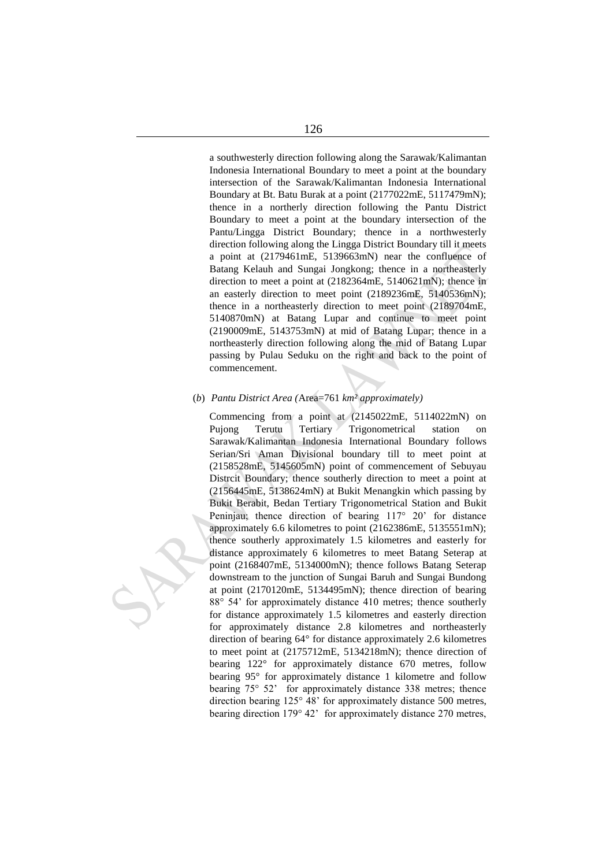a southwesterly direction following along the Sarawak/Kalimantan Indonesia International Boundary to meet a point at the boundary intersection of the Sarawak/Kalimantan Indonesia International Boundary at Bt. Batu Burak at a point (2177022mE, 5117479mN); thence in a northerly direction following the Pantu District Boundary to meet a point at the boundary intersection of the Pantu/Lingga District Boundary; thence in a northwesterly direction following along the Lingga District Boundary till it meets a point at (2179461mE, 5139663mN) near the confluence of Batang Kelauh and Sungai Jongkong; thence in a northeasterly direction to meet a point at (2182364mE, 5140621mN); thence in an easterly direction to meet point (2189236mE, 5140536mN); thence in a northeasterly direction to meet point (2189704mE, 5140870mN) at Batang Lupar and continue to meet point (2190009mE, 5143753mN) at mid of Batang Lupar; thence in a northeasterly direction following along the mid of Batang Lupar passing by Pulau Seduku on the right and back to the point of commencement.

#### (*b*) *Pantu District Area (*Area=761 *km² approximately)*

Commencing from a point at (2145022mE, 5114022mN) on Pujong Terutu Tertiary Trigonometrical station on Sarawak/Kalimantan Indonesia International Boundary follows Serian/Sri Aman Divisional boundary till to meet point at (2158528mE, 5145605mN) point of commencement of Sebuyau Distrcit Boundary; thence southerly direction to meet a point at (2156445mE, 5138624mN) at Bukit Menangkin which passing by Bukit Berabit, Bedan Tertiary Trigonometrical Station and Bukit Peninjau; thence direction of bearing 117° 20' for distance approximately 6.6 kilometres to point (2162386mE, 5135551mN); thence southerly approximately 1.5 kilometres and easterly for distance approximately 6 kilometres to meet Batang Seterap at point (2168407mE, 5134000mN); thence follows Batang Seterap downstream to the junction of Sungai Baruh and Sungai Bundong at point (2170120mE, 5134495mN); thence direction of bearing 88° 54' for approximately distance 410 metres; thence southerly for distance approximately 1.5 kilometres and easterly direction for approximately distance 2.8 kilometres and northeasterly direction of bearing 64° for distance approximately 2.6 kilometres to meet point at (2175712mE, 5134218mN); thence direction of bearing 122° for approximately distance 670 metres, follow bearing 95° for approximately distance 1 kilometre and follow bearing 75° 52' for approximately distance 338 metres; thence direction bearing 125° 48' for approximately distance 500 metres, bearing direction 179° 42' for approximately distance 270 metres,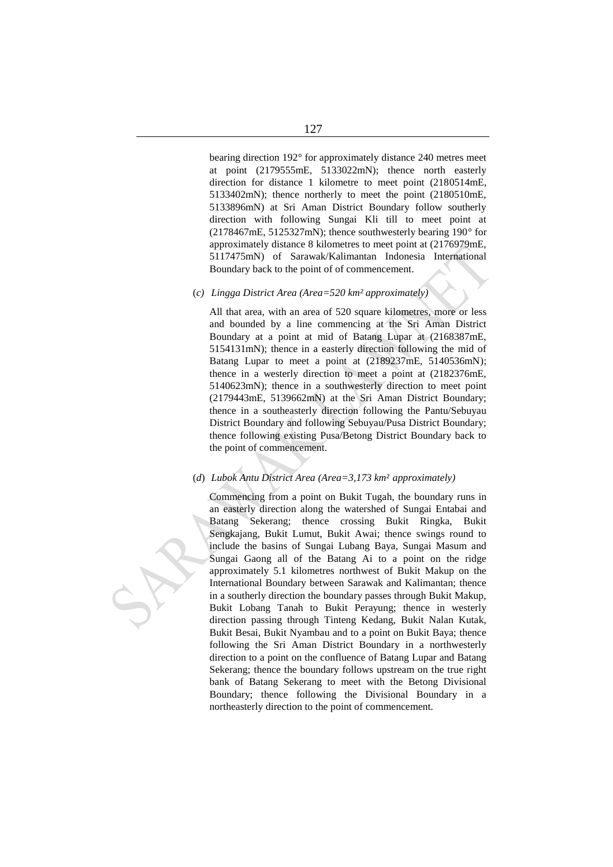bearing direction 192° for approximately distance 240 metres meet at point (2179555mE, 5133022mN); thence north easterly direction for distance 1 kilometre to meet point (2180514mE, 5133402mN); thence northerly to meet the point (2180510mE, 5133896mN) at Sri Aman District Boundary follow southerly direction with following Sungai Kli till to meet point at (2178467mE, 5125327mN); thence southwesterly bearing 190° for approximately distance 8 kilometres to meet point at (2176979mE, 5117475mN) of Sarawak/Kalimantan Indonesia International Boundary back to the point of of commencement.

#### (*c) Lingga District Area (Area=520 km² approximately)*

All that area, with an area of 520 square kilometres, more or less and bounded by a line commencing at the Sri Aman District Boundary at a point at mid of Batang Lupar at (2168387mE, 5154131mN); thence in a easterly direction following the mid of Batang Lupar to meet a point at (2189237mE, 5140536mN); thence in a westerly direction to meet a point at (2182376mE, 5140623mN); thence in a southwesterly direction to meet point (2179443mE, 5139662mN) at the Sri Aman District Boundary; thence in a southeasterly direction following the Pantu/Sebuyau District Boundary and following Sebuyau/Pusa District Boundary; thence following existing Pusa/Betong District Boundary back to the point of commencement.

# (*d*) *Lubok Antu District Area (Area=3,173 km² approximately)*

Commencing from a point on Bukit Tugah, the boundary runs in an easterly direction along the watershed of Sungai Entabai and Batang Sekerang; thence crossing Bukit Ringka, Bukit Sengkajang, Bukit Lumut, Bukit Awai; thence swings round to include the basins of Sungai Lubang Baya, Sungai Masum and Sungai Gaong all of the Batang Ai to a point on the ridge approximately 5.1 kilometres northwest of Bukit Makup on the International Boundary between Sarawak and Kalimantan; thence in a southerly direction the boundary passes through Bukit Makup, Bukit Lobang Tanah to Bukit Perayung; thence in westerly direction passing through Tinteng Kedang, Bukit Nalan Kutak, Bukit Besai, Bukit Nyambau and to a point on Bukit Baya; thence following the Sri Aman District Boundary in a northwesterly direction to a point on the confluence of Batang Lupar and Batang Sekerang; thence the boundary follows upstream on the true right bank of Batang Sekerang to meet with the Betong Divisional Boundary; thence following the Divisional Boundary in a northeasterly direction to the point of commencement.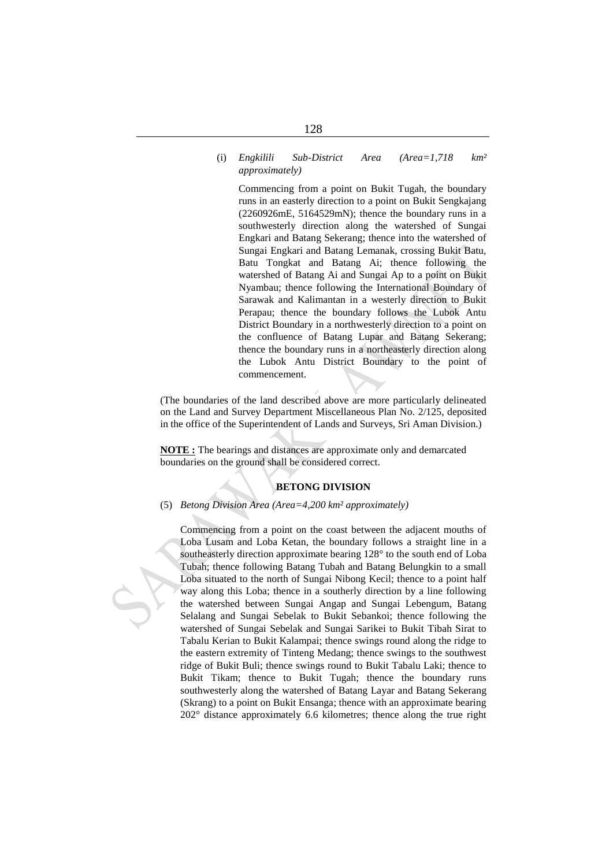# 128

#### (i) *Engkilili Sub-District Area (Area=1,718 km² approximately)*

Commencing from a point on Bukit Tugah, the boundary runs in an easterly direction to a point on Bukit Sengkajang (2260926mE, 5164529mN); thence the boundary runs in a southwesterly direction along the watershed of Sungai Engkari and Batang Sekerang; thence into the watershed of Sungai Engkari and Batang Lemanak, crossing Bukit Batu, Batu Tongkat and Batang Ai; thence following the watershed of Batang Ai and Sungai Ap to a point on Bukit Nyambau; thence following the International Boundary of Sarawak and Kalimantan in a westerly direction to Bukit Perapau; thence the boundary follows the Lubok Antu District Boundary in a northwesterly direction to a point on the confluence of Batang Lupar and Batang Sekerang; thence the boundary runs in a northeasterly direction along the Lubok Antu District Boundary to the point of commencement.

(The boundaries of the land described above are more particularly delineated on the Land and Survey Department Miscellaneous Plan No. 2/125, deposited in the office of the Superintendent of Lands and Surveys, Sri Aman Division.)

**NOTE :** The bearings and distances are approximate only and demarcated boundaries on the ground shall be considered correct.

#### **BETONG DIVISION**

# (5) *Betong Division Area (Area=4,200 km² approximately)*

Commencing from a point on the coast between the adjacent mouths of Loba Lusam and Loba Ketan, the boundary follows a straight line in a southeasterly direction approximate bearing 128° to the south end of Loba Tubah; thence following Batang Tubah and Batang Belungkin to a small Loba situated to the north of Sungai Nibong Kecil; thence to a point half way along this Loba; thence in a southerly direction by a line following the watershed between Sungai Angap and Sungai Lebengum, Batang Selalang and Sungai Sebelak to Bukit Sebankoi; thence following the watershed of Sungai Sebelak and Sungai Sarikei to Bukit Tibah Sirat to Tabalu Kerian to Bukit Kalampai; thence swings round along the ridge to the eastern extremity of Tinteng Medang; thence swings to the southwest ridge of Bukit Buli; thence swings round to Bukit Tabalu Laki; thence to Bukit Tikam; thence to Bukit Tugah; thence the boundary runs southwesterly along the watershed of Batang Layar and Batang Sekerang (Skrang) to a point on Bukit Ensanga; thence with an approximate bearing 202° distance approximately 6.6 kilometres; thence along the true right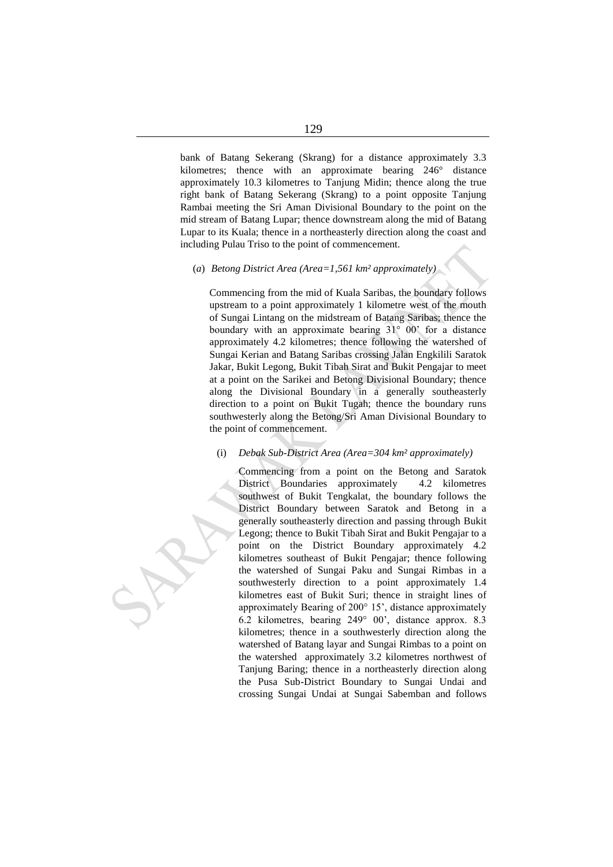bank of Batang Sekerang (Skrang) for a distance approximately 3.3 kilometres; thence with an approximate bearing 246° distance approximately 10.3 kilometres to Tanjung Midin; thence along the true right bank of Batang Sekerang (Skrang) to a point opposite Tanjung Rambai meeting the Sri Aman Divisional Boundary to the point on the mid stream of Batang Lupar; thence downstream along the mid of Batang Lupar to its Kuala; thence in a northeasterly direction along the coast and including Pulau Triso to the point of commencement.

#### (*a*) *Betong District Area (Area=1,561 km² approximately)*

Commencing from the mid of Kuala Saribas, the boundary follows upstream to a point approximately 1 kilometre west of the mouth of Sungai Lintang on the midstream of Batang Saribas; thence the boundary with an approximate bearing 31° 00' for a distance approximately 4.2 kilometres; thence following the watershed of Sungai Kerian and Batang Saribas crossing Jalan Engkilili Saratok Jakar, Bukit Legong, Bukit Tibah Sirat and Bukit Pengajar to meet at a point on the Sarikei and Betong Divisional Boundary; thence along the Divisional Boundary in a generally southeasterly direction to a point on Bukit Tugah; thence the boundary runs southwesterly along the Betong/Sri Aman Divisional Boundary to the point of commencement.

#### (i) *Debak Sub-District Area (Area=304 km² approximately)*

Commencing from a point on the Betong and Saratok District Boundaries approximately 4.2 kilometres southwest of Bukit Tengkalat, the boundary follows the District Boundary between Saratok and Betong in a generally southeasterly direction and passing through Bukit Legong; thence to Bukit Tibah Sirat and Bukit Pengajar to a point on the District Boundary approximately 4.2 kilometres southeast of Bukit Pengajar; thence following the watershed of Sungai Paku and Sungai Rimbas in a southwesterly direction to a point approximately 1.4 kilometres east of Bukit Suri; thence in straight lines of approximately Bearing of 200° 15', distance approximately 6.2 kilometres, bearing 249° 00', distance approx. 8.3 kilometres; thence in a southwesterly direction along the watershed of Batang layar and Sungai Rimbas to a point on the watershed approximately 3.2 kilometres northwest of Tanjung Baring; thence in a northeasterly direction along the Pusa Sub-District Boundary to Sungai Undai and crossing Sungai Undai at Sungai Sabemban and follows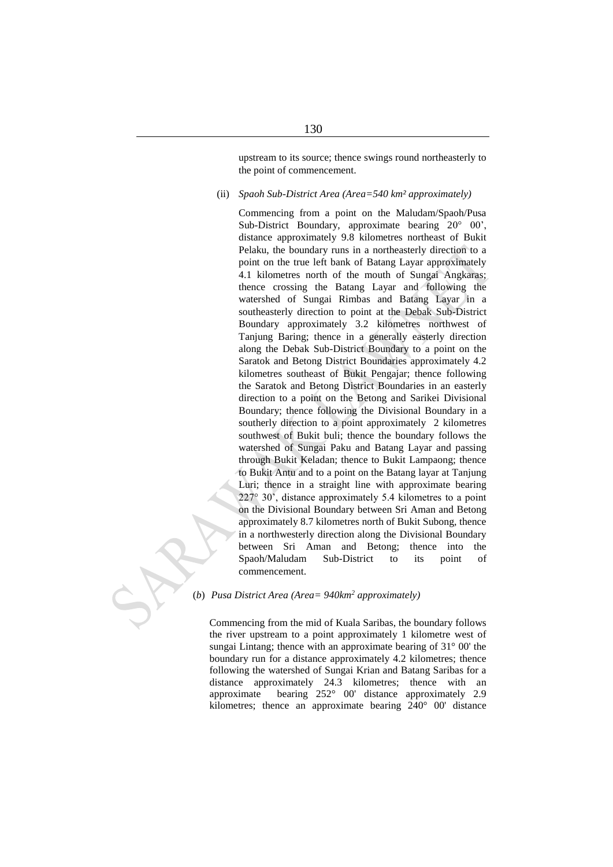upstream to its source; thence swings round northeasterly to the point of commencement.

#### (ii) *Spaoh Sub-District Area (Area=540 km² approximately)*

Commencing from a point on the Maludam/Spaoh/Pusa Sub-District Boundary, approximate bearing 20° 00', distance approximately 9.8 kilometres northeast of Bukit Pelaku, the boundary runs in a northeasterly direction to a point on the true left bank of Batang Layar approximately 4.1 kilometres north of the mouth of Sungai Angkaras; thence crossing the Batang Layar and following the watershed of Sungai Rimbas and Batang Layar in a southeasterly direction to point at the Debak Sub-District Boundary approximately 3.2 kilometres northwest of Tanjung Baring; thence in a generally easterly direction along the Debak Sub-District Boundary to a point on the Saratok and Betong District Boundaries approximately 4.2 kilometres southeast of Bukit Pengajar; thence following the Saratok and Betong District Boundaries in an easterly direction to a point on the Betong and Sarikei Divisional Boundary; thence following the Divisional Boundary in a southerly direction to a point approximately 2 kilometres southwest of Bukit buli; thence the boundary follows the watershed of Sungai Paku and Batang Layar and passing through Bukit Keladan; thence to Bukit Lampaong; thence to Bukit Antu and to a point on the Batang layar at Tanjung Luri; thence in a straight line with approximate bearing 227° 30', distance approximately 5.4 kilometres to a point on the Divisional Boundary between Sri Aman and Betong approximately 8.7 kilometres north of Bukit Subong, thence in a northwesterly direction along the Divisional Boundary between Sri Aman and Betong; thence into the Spaoh/Maludam Sub-District to its point of commencement.

#### (*b*) *Pusa District Area (Area= 940km<sup>2</sup> approximately)*

Commencing from the mid of Kuala Saribas, the boundary follows the river upstream to a point approximately 1 kilometre west of sungai Lintang; thence with an approximate bearing of 31° 00' the boundary run for a distance approximately 4.2 kilometres; thence following the watershed of Sungai Krian and Batang Saribas for a distance approximately 24.3 kilometres; thence with an approximate bearing 252° 00' distance approximately 2.9 kilometres; thence an approximate bearing 240° 00' distance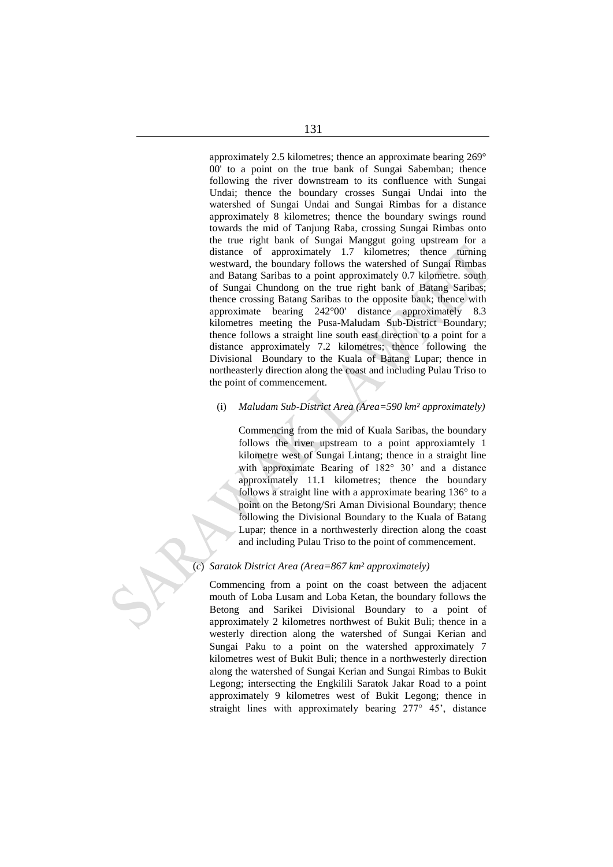approximately 2.5 kilometres; thence an approximate bearing 269° 00' to a point on the true bank of Sungai Sabemban; thence following the river downstream to its confluence with Sungai Undai; thence the boundary crosses Sungai Undai into the watershed of Sungai Undai and Sungai Rimbas for a distance approximately 8 kilometres; thence the boundary swings round towards the mid of Tanjung Raba, crossing Sungai Rimbas onto the true right bank of Sungai Manggut going upstream for a distance of approximately 1.7 kilometres; thence turning westward, the boundary follows the watershed of Sungai Rimbas and Batang Saribas to a point approximately 0.7 kilometre. south of Sungai Chundong on the true right bank of Batang Saribas; thence crossing Batang Saribas to the opposite bank; thence with approximate bearing 242°00' distance approximately 8.3 kilometres meeting the Pusa-Maludam Sub-District Boundary; thence follows a straight line south east direction to a point for a distance approximately 7.2 kilometres; thence following the Divisional Boundary to the Kuala of Batang Lupar; thence in northeasterly direction along the coast and including Pulau Triso to the point of commencement.

# (i) *Maludam Sub-District Area (Area=590 km² approximately)*

Commencing from the mid of Kuala Saribas, the boundary follows the river upstream to a point approxiamtely 1 kilometre west of Sungai Lintang; thence in a straight line with approximate Bearing of 182° 30' and a distance approximately 11.1 kilometres; thence the boundary follows a straight line with a approximate bearing 136° to a point on the Betong/Sri Aman Divisional Boundary; thence following the Divisional Boundary to the Kuala of Batang Lupar; thence in a northwesterly direction along the coast and including Pulau Triso to the point of commencement.

## (*c*) *Saratok District Area (Area=867 km² approximately)*

Commencing from a point on the coast between the adjacent mouth of Loba Lusam and Loba Ketan, the boundary follows the Betong and Sarikei Divisional Boundary to a point of approximately 2 kilometres northwest of Bukit Buli; thence in a westerly direction along the watershed of Sungai Kerian and Sungai Paku to a point on the watershed approximately 7 kilometres west of Bukit Buli; thence in a northwesterly direction along the watershed of Sungai Kerian and Sungai Rimbas to Bukit Legong; intersecting the Engkilili Saratok Jakar Road to a point approximately 9 kilometres west of Bukit Legong; thence in straight lines with approximately bearing 277° 45', distance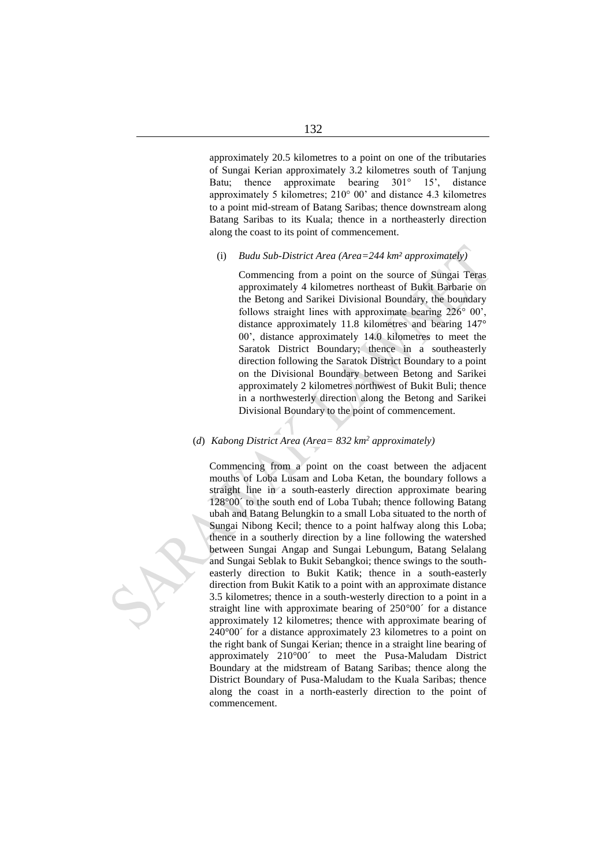approximately 20.5 kilometres to a point on one of the tributaries of Sungai Kerian approximately 3.2 kilometres south of Tanjung Batu; thence approximate bearing 301° 15', distance approximately 5 kilometres; 210° 00' and distance 4.3 kilometres to a point mid-stream of Batang Saribas; thence downstream along Batang Saribas to its Kuala; thence in a northeasterly direction along the coast to its point of commencement.

## (i) *Budu Sub-District Area (Area=244 km² approximately)*

Commencing from a point on the source of Sungai Teras approximately 4 kilometres northeast of Bukit Barbarie on the Betong and Sarikei Divisional Boundary, the boundary follows straight lines with approximate bearing 226° 00', distance approximately 11.8 kilometres and bearing 147° 00', distance approximately 14.0 kilometres to meet the Saratok District Boundary; thence in a southeasterly direction following the Saratok District Boundary to a point on the Divisional Boundary between Betong and Sarikei approximately 2 kilometres northwest of Bukit Buli; thence in a northwesterly direction along the Betong and Sarikei Divisional Boundary to the point of commencement.

## (*d*) *Kabong District Area (Area= 832 km<sup>2</sup> approximately)*

Commencing from a point on the coast between the adjacent mouths of Loba Lusam and Loba Ketan, the boundary follows a straight line in a south-easterly direction approximate bearing 128°00´ to the south end of Loba Tubah; thence following Batang ubah and Batang Belungkin to a small Loba situated to the north of Sungai Nibong Kecil; thence to a point halfway along this Loba; thence in a southerly direction by a line following the watershed between Sungai Angap and Sungai Lebungum, Batang Selalang and Sungai Seblak to Bukit Sebangkoi; thence swings to the southeasterly direction to Bukit Katik; thence in a south-easterly direction from Bukit Katik to a point with an approximate distance 3.5 kilometres; thence in a south-westerly direction to a point in a straight line with approximate bearing of 250°00´ for a distance approximately 12 kilometres; thence with approximate bearing of 240°00´ for a distance approximately 23 kilometres to a point on the right bank of Sungai Kerian; thence in a straight line bearing of approximately 210°00´ to meet the Pusa-Maludam District Boundary at the midstream of Batang Saribas; thence along the District Boundary of Pusa-Maludam to the Kuala Saribas; thence along the coast in a north-easterly direction to the point of commencement.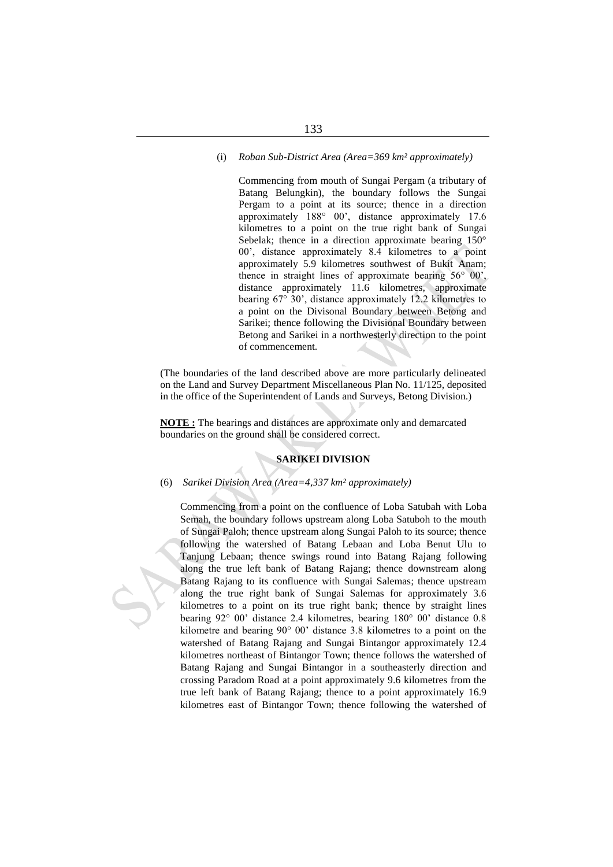#### (i) *Roban Sub-District Area (Area=369 km² approximately)*

Commencing from mouth of Sungai Pergam (a tributary of Batang Belungkin), the boundary follows the Sungai Pergam to a point at its source; thence in a direction approximately 188° 00', distance approximately 17.6 kilometres to a point on the true right bank of Sungai Sebelak; thence in a direction approximate bearing 150° 00', distance approximately 8.4 kilometres to a point approximately 5.9 kilometres southwest of Bukit Anam; thence in straight lines of approximate bearing 56° 00', distance approximately 11.6 kilometres, approximate bearing 67° 30', distance approximately 12.2 kilometres to a point on the Divisonal Boundary between Betong and Sarikei; thence following the Divisional Boundary between Betong and Sarikei in a northwesterly direction to the point of commencement.

(The boundaries of the land described above are more particularly delineated on the Land and Survey Department Miscellaneous Plan No. 11/125, deposited in the office of the Superintendent of Lands and Surveys, Betong Division.)

**NOTE :** The bearings and distances are approximate only and demarcated boundaries on the ground shall be considered correct.

# **SARIKEI DIVISION**

#### (6) *Sarikei Division Area (Area=4,337 km² approximately)*

Commencing from a point on the confluence of Loba Satubah with Loba Semah, the boundary follows upstream along Loba Satuboh to the mouth of Sungai Paloh; thence upstream along Sungai Paloh to its source; thence following the watershed of Batang Lebaan and Loba Benut Ulu to Tanjung Lebaan; thence swings round into Batang Rajang following along the true left bank of Batang Rajang; thence downstream along Batang Rajang to its confluence with Sungai Salemas; thence upstream along the true right bank of Sungai Salemas for approximately 3.6 kilometres to a point on its true right bank; thence by straight lines bearing 92° 00' distance 2.4 kilometres, bearing 180° 00' distance 0.8 kilometre and bearing 90° 00' distance 3.8 kilometres to a point on the watershed of Batang Rajang and Sungai Bintangor approximately 12.4 kilometres northeast of Bintangor Town; thence follows the watershed of Batang Rajang and Sungai Bintangor in a southeasterly direction and crossing Paradom Road at a point approximately 9.6 kilometres from the true left bank of Batang Rajang; thence to a point approximately 16.9 kilometres east of Bintangor Town; thence following the watershed of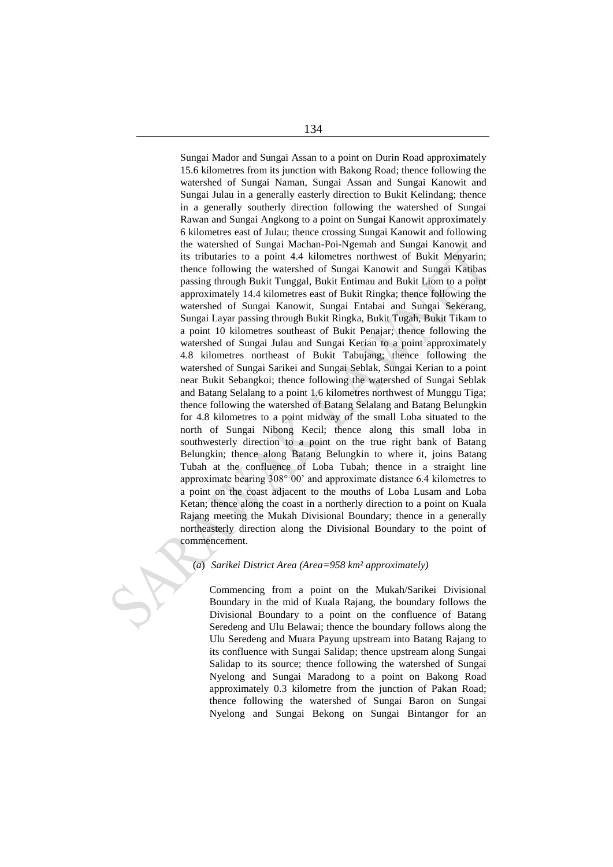Sungai Mador and Sungai Assan to a point on Durin Road approximately 15.6 kilometres from its junction with Bakong Road; thence following the watershed of Sungai Naman, Sungai Assan and Sungai Kanowit and Sungai Julau in a generally easterly direction to Bukit Kelindang; thence in a generally southerly direction following the watershed of Sungai Rawan and Sungai Angkong to a point on Sungai Kanowit approximately 6 kilometres east of Julau; thence crossing Sungai Kanowit and following the watershed of Sungai Machan-Poi-Ngemah and Sungai Kanowit and its tributaries to a point 4.4 kilometres northwest of Bukit Menyarin; thence following the watershed of Sungai Kanowit and Sungai Katibas passing through Bukit Tunggal, Bukit Entimau and Bukit Liom to a point approximately 14.4 kilometres east of Bukit Ringka; thence following the watershed of Sungai Kanowit, Sungai Entabai and Sungai Sekerang, Sungai Layar passing through Bukit Ringka, Bukit Tugah, Bukit Tikam to a point 10 kilometres southeast of Bukit Penajar; thence following the watershed of Sungai Julau and Sungai Kerian to a point approximately 4.8 kilometres northeast of Bukit Tabujang; thence following the watershed of Sungai Sarikei and Sungai Seblak, Sungai Kerian to a point near Bukit Sebangkoi; thence following the watershed of Sungai Seblak and Batang Selalang to a point 1.6 kilometres northwest of Munggu Tiga; thence following the watershed of Batang Selalang and Batang Belungkin for 4.8 kilometres to a point midway of the small Loba situated to the north of Sungai Nibong Kecil; thence along this small loba in southwesterly direction to a point on the true right bank of Batang Belungkin; thence along Batang Belungkin to where it, joins Batang Tubah at the confluence of Loba Tubah; thence in a straight line approximate bearing 308° 00' and approximate distance 6.4 kilometres to a point on the coast adjacent to the mouths of Loba Lusam and Loba Ketan; thence along the coast in a northerly direction to a point on Kuala Rajang meeting the Mukah Divisional Boundary; thence in a generally northeasterly direction along the Divisional Boundary to the point of commencement.

#### (*a*) *Sarikei District Area (Area=958 km² approximately)*

Commencing from a point on the Mukah/Sarikei Divisional Boundary in the mid of Kuala Rajang, the boundary follows the Divisional Boundary to a point on the confluence of Batang Seredeng and Ulu Belawai; thence the boundary follows along the Ulu Seredeng and Muara Payung upstream into Batang Rajang to its confluence with Sungai Salidap; thence upstream along Sungai Salidap to its source; thence following the watershed of Sungai Nyelong and Sungai Maradong to a point on Bakong Road approximately 0.3 kilometre from the junction of Pakan Road; thence following the watershed of Sungai Baron on Sungai Nyelong and Sungai Bekong on Sungai Bintangor for an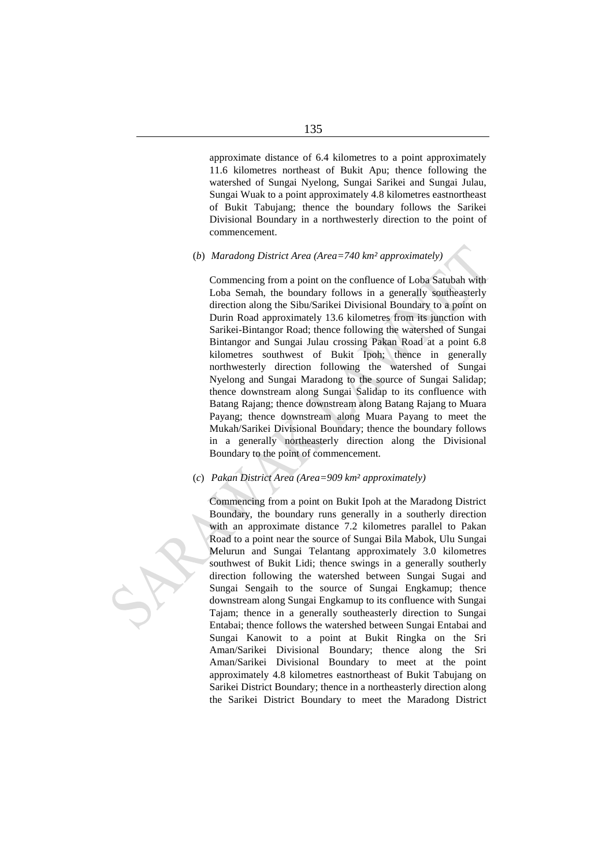approximate distance of 6.4 kilometres to a point approximately 11.6 kilometres northeast of Bukit Apu; thence following the watershed of Sungai Nyelong, Sungai Sarikei and Sungai Julau, Sungai Wuak to a point approximately 4.8 kilometres eastnortheast of Bukit Tabujang; thence the boundary follows the Sarikei Divisional Boundary in a northwesterly direction to the point of commencement.

# (*b*) *Maradong District Area (Area=740 km² approximately)*

Commencing from a point on the confluence of Loba Satubah with Loba Semah, the boundary follows in a generally southeasterly direction along the Sibu/Sarikei Divisional Boundary to a point on Durin Road approximately 13.6 kilometres from its junction with Sarikei-Bintangor Road; thence following the watershed of Sungai Bintangor and Sungai Julau crossing Pakan Road at a point 6.8 kilometres southwest of Bukit Ipoh; thence in generally northwesterly direction following the watershed of Sungai Nyelong and Sungai Maradong to the source of Sungai Salidap; thence downstream along Sungai Salidap to its confluence with Batang Rajang; thence downstream along Batang Rajang to Muara Payang; thence downstream along Muara Payang to meet the Mukah/Sarikei Divisional Boundary; thence the boundary follows in a generally northeasterly direction along the Divisional Boundary to the point of commencement.

# (*c*) *Pakan District Area (Area=909 km² approximately)*

Commencing from a point on Bukit Ipoh at the Maradong District Boundary, the boundary runs generally in a southerly direction with an approximate distance 7.2 kilometres parallel to Pakan Road to a point near the source of Sungai Bila Mabok, Ulu Sungai Melurun and Sungai Telantang approximately 3.0 kilometres southwest of Bukit Lidi; thence swings in a generally southerly direction following the watershed between Sungai Sugai and Sungai Sengaih to the source of Sungai Engkamup; thence downstream along Sungai Engkamup to its confluence with Sungai Tajam; thence in a generally southeasterly direction to Sungai Entabai; thence follows the watershed between Sungai Entabai and Sungai Kanowit to a point at Bukit Ringka on the Sri Aman/Sarikei Divisional Boundary; thence along the Sri Aman/Sarikei Divisional Boundary to meet at the point approximately 4.8 kilometres eastnortheast of Bukit Tabujang on Sarikei District Boundary; thence in a northeasterly direction along the Sarikei District Boundary to meet the Maradong District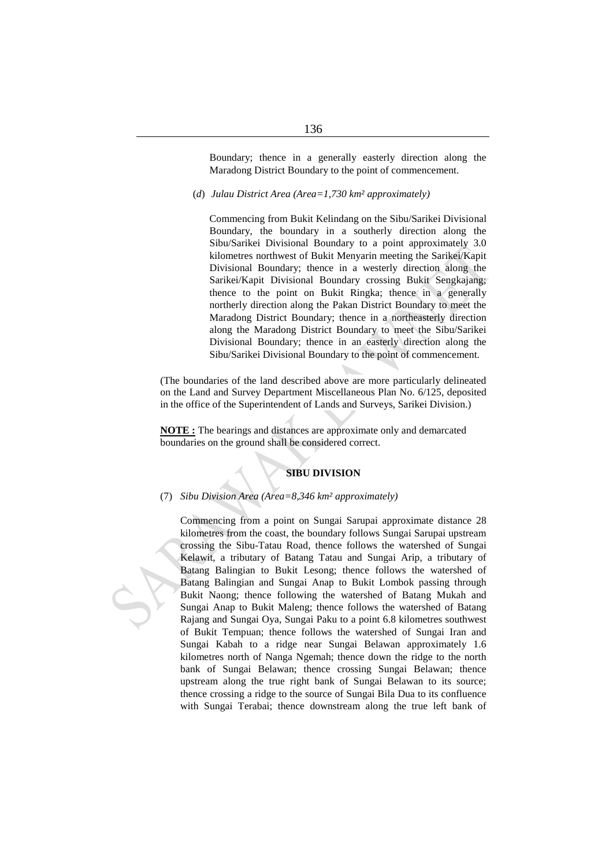Boundary; thence in a generally easterly direction along the Maradong District Boundary to the point of commencement.

(*d*) *Julau District Area (Area=1,730 km² approximately)*

Commencing from Bukit Kelindang on the Sibu/Sarikei Divisional Boundary, the boundary in a southerly direction along the Sibu/Sarikei Divisional Boundary to a point approximately 3.0 kilometres northwest of Bukit Menyarin meeting the Sarikei/Kapit Divisional Boundary; thence in a westerly direction along the Sarikei/Kapit Divisional Boundary crossing Bukit Sengkajang; thence to the point on Bukit Ringka; thence in a generally northerly direction along the Pakan District Boundary to meet the Maradong District Boundary; thence in a northeasterly direction along the Maradong District Boundary to meet the Sibu/Sarikei Divisional Boundary; thence in an easterly direction along the Sibu/Sarikei Divisional Boundary to the point of commencement.

(The boundaries of the land described above are more particularly delineated on the Land and Survey Department Miscellaneous Plan No. 6/125, deposited in the office of the Superintendent of Lands and Surveys, Sarikei Division.)

**NOTE :** The bearings and distances are approximate only and demarcated boundaries on the ground shall be considered correct.

# **SIBU DIVISION**

#### (7) *Sibu Division Area (Area=8,346 km² approximately)*

Commencing from a point on Sungai Sarupai approximate distance 28 kilometres from the coast, the boundary follows Sungai Sarupai upstream crossing the Sibu-Tatau Road, thence follows the watershed of Sungai Kelawit, a tributary of Batang Tatau and Sungai Arip, a tributary of Batang Balingian to Bukit Lesong; thence follows the watershed of Batang Balingian and Sungai Anap to Bukit Lombok passing through Bukit Naong; thence following the watershed of Batang Mukah and Sungai Anap to Bukit Maleng; thence follows the watershed of Batang Rajang and Sungai Oya, Sungai Paku to a point 6.8 kilometres southwest of Bukit Tempuan; thence follows the watershed of Sungai Iran and Sungai Kabah to a ridge near Sungai Belawan approximately 1.6 kilometres north of Nanga Ngemah; thence down the ridge to the north bank of Sungai Belawan; thence crossing Sungai Belawan; thence upstream along the true right bank of Sungai Belawan to its source; thence crossing a ridge to the source of Sungai Bila Dua to its confluence with Sungai Terabai; thence downstream along the true left bank of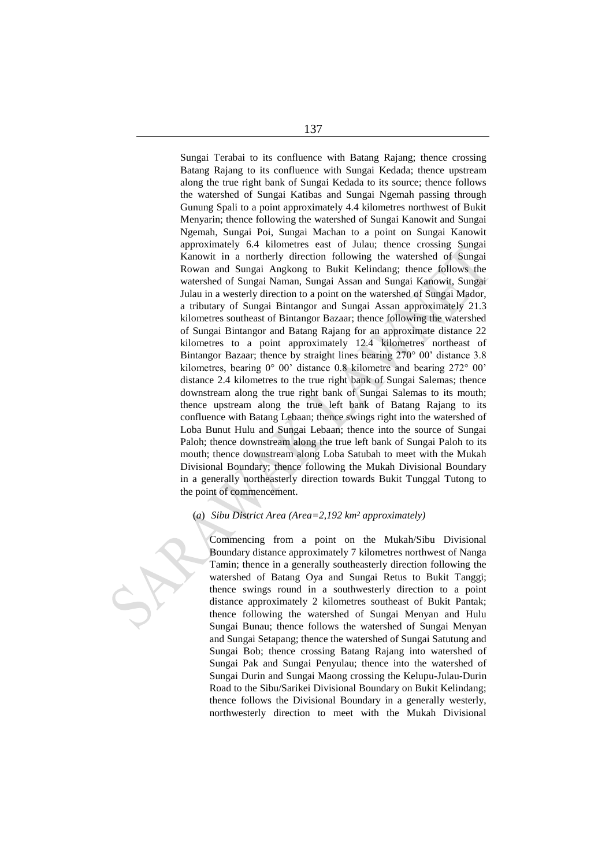Sungai Terabai to its confluence with Batang Rajang; thence crossing Batang Rajang to its confluence with Sungai Kedada; thence upstream along the true right bank of Sungai Kedada to its source; thence follows the watershed of Sungai Katibas and Sungai Ngemah passing through Gunung Spali to a point approximately 4.4 kilometres northwest of Bukit Menyarin; thence following the watershed of Sungai Kanowit and Sungai Ngemah, Sungai Poi, Sungai Machan to a point on Sungai Kanowit approximately 6.4 kilometres east of Julau; thence crossing Sungai Kanowit in a northerly direction following the watershed of Sungai Rowan and Sungai Angkong to Bukit Kelindang; thence follows the watershed of Sungai Naman, Sungai Assan and Sungai Kanowit, Sungai Julau in a westerly direction to a point on the watershed of Sungai Mador, a tributary of Sungai Bintangor and Sungai Assan approximately 21.3 kilometres southeast of Bintangor Bazaar; thence following the watershed of Sungai Bintangor and Batang Rajang for an approximate distance 22 kilometres to a point approximately 12.4 kilometres northeast of Bintangor Bazaar; thence by straight lines bearing 270° 00' distance 3.8 kilometres, bearing 0° 00' distance 0.8 kilometre and bearing 272° 00' distance 2.4 kilometres to the true right bank of Sungai Salemas; thence downstream along the true right bank of Sungai Salemas to its mouth; thence upstream along the true left bank of Batang Rajang to its confluence with Batang Lebaan; thence swings right into the watershed of Loba Bunut Hulu and Sungai Lebaan; thence into the source of Sungai Paloh; thence downstream along the true left bank of Sungai Paloh to its mouth; thence downstream along Loba Satubah to meet with the Mukah Divisional Boundary; thence following the Mukah Divisional Boundary in a generally northeasterly direction towards Bukit Tunggal Tutong to the point of commencement.

#### (*a*) *Sibu District Area (Area=2,192 km² approximately)*

Commencing from a point on the Mukah/Sibu Divisional Boundary distance approximately 7 kilometres northwest of Nanga Tamin; thence in a generally southeasterly direction following the watershed of Batang Oya and Sungai Retus to Bukit Tanggi; thence swings round in a southwesterly direction to a point distance approximately 2 kilometres southeast of Bukit Pantak; thence following the watershed of Sungai Menyan and Hulu Sungai Bunau; thence follows the watershed of Sungai Menyan and Sungai Setapang; thence the watershed of Sungai Satutung and Sungai Bob; thence crossing Batang Rajang into watershed of Sungai Pak and Sungai Penyulau; thence into the watershed of Sungai Durin and Sungai Maong crossing the Kelupu-Julau-Durin Road to the Sibu/Sarikei Divisional Boundary on Bukit Kelindang; thence follows the Divisional Boundary in a generally westerly, northwesterly direction to meet with the Mukah Divisional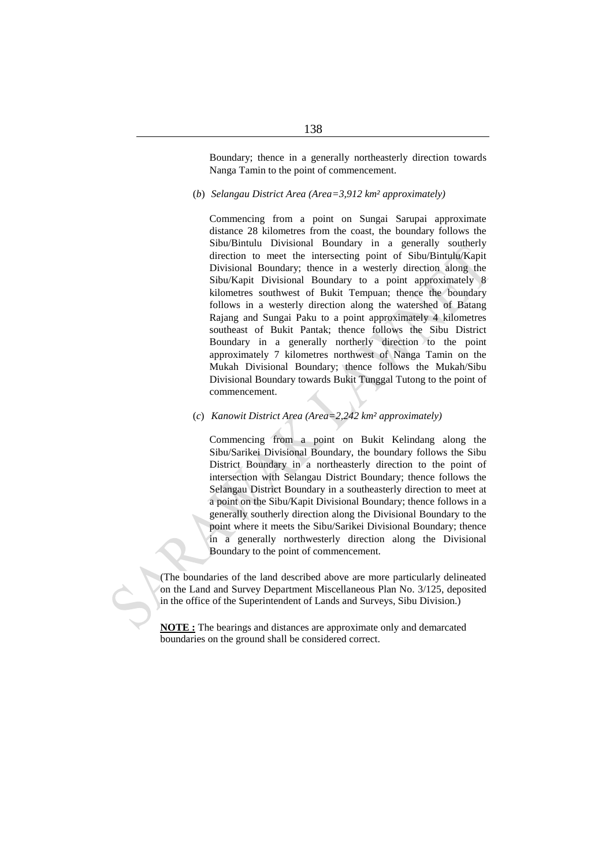Boundary; thence in a generally northeasterly direction towards Nanga Tamin to the point of commencement.

(*b*) *Selangau District Area (Area=3,912 km² approximately)*

Commencing from a point on Sungai Sarupai approximate distance 28 kilometres from the coast, the boundary follows the Sibu/Bintulu Divisional Boundary in a generally southerly direction to meet the intersecting point of Sibu/Bintulu/Kapit Divisional Boundary; thence in a westerly direction along the Sibu/Kapit Divisional Boundary to a point approximately 8 kilometres southwest of Bukit Tempuan; thence the boundary follows in a westerly direction along the watershed of Batang Rajang and Sungai Paku to a point approximately 4 kilometres southeast of Bukit Pantak; thence follows the Sibu District Boundary in a generally northerly direction to the point approximately 7 kilometres northwest of Nanga Tamin on the Mukah Divisional Boundary; thence follows the Mukah/Sibu Divisional Boundary towards Bukit Tunggal Tutong to the point of commencement.

# (*c*) *Kanowit District Area (Area=2,242 km² approximately)*

Commencing from a point on Bukit Kelindang along the Sibu/Sarikei Divisional Boundary, the boundary follows the Sibu District Boundary in a northeasterly direction to the point of intersection with Selangau District Boundary; thence follows the Selangau District Boundary in a southeasterly direction to meet at a point on the Sibu/Kapit Divisional Boundary; thence follows in a generally southerly direction along the Divisional Boundary to the point where it meets the Sibu/Sarikei Divisional Boundary; thence in a generally northwesterly direction along the Divisional Boundary to the point of commencement.

(The boundaries of the land described above are more particularly delineated on the Land and Survey Department Miscellaneous Plan No. 3/125, deposited in the office of the Superintendent of Lands and Surveys, Sibu Division.)

**NOTE :** The bearings and distances are approximate only and demarcated boundaries on the ground shall be considered correct.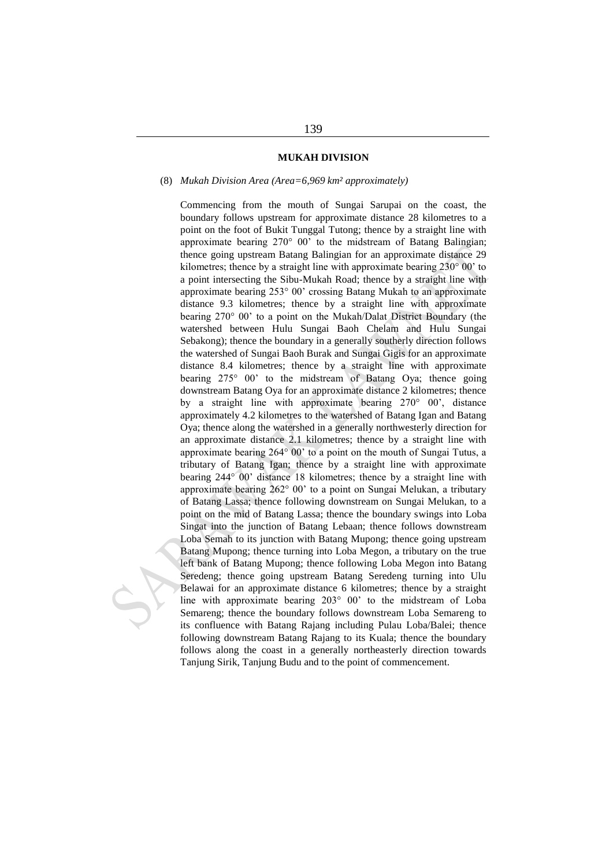# **MUKAH DIVISION**

#### (8) *Mukah Division Area (Area=6,969 km² approximately)*

Commencing from the mouth of Sungai Sarupai on the coast, the boundary follows upstream for approximate distance 28 kilometres to a point on the foot of Bukit Tunggal Tutong; thence by a straight line with approximate bearing 270° 00' to the midstream of Batang Balingian; thence going upstream Batang Balingian for an approximate distance 29 kilometres; thence by a straight line with approximate bearing  $230^{\circ}$  00' to a point intersecting the Sibu-Mukah Road; thence by a straight line with approximate bearing 253° 00' crossing Batang Mukah to an approximate distance 9.3 kilometres; thence by a straight line with approximate bearing 270° 00' to a point on the Mukah/Dalat District Boundary (the watershed between Hulu Sungai Baoh Chelam and Hulu Sungai Sebakong); thence the boundary in a generally southerly direction follows the watershed of Sungai Baoh Burak and Sungai Gigis for an approximate distance 8.4 kilometres; thence by a straight line with approximate bearing 275° 00' to the midstream of Batang Oya; thence going downstream Batang Oya for an approximate distance 2 kilometres; thence by a straight line with approximate bearing 270° 00', distance approximately 4.2 kilometres to the watershed of Batang Igan and Batang Oya; thence along the watershed in a generally northwesterly direction for an approximate distance 2.1 kilometres; thence by a straight line with approximate bearing 264° 00' to a point on the mouth of Sungai Tutus, a tributary of Batang Igan; thence by a straight line with approximate bearing 244° 00' distance 18 kilometres; thence by a straight line with approximate bearing 262° 00' to a point on Sungai Melukan, a tributary of Batang Lassa; thence following downstream on Sungai Melukan, to a point on the mid of Batang Lassa; thence the boundary swings into Loba Singat into the junction of Batang Lebaan; thence follows downstream Loba Semah to its junction with Batang Mupong; thence going upstream Batang Mupong; thence turning into Loba Megon, a tributary on the true left bank of Batang Mupong; thence following Loba Megon into Batang Seredeng; thence going upstream Batang Seredeng turning into Ulu Belawai for an approximate distance 6 kilometres; thence by a straight line with approximate bearing 203° 00' to the midstream of Loba Semareng; thence the boundary follows downstream Loba Semareng to its confluence with Batang Rajang including Pulau Loba/Balei; thence following downstream Batang Rajang to its Kuala; thence the boundary follows along the coast in a generally northeasterly direction towards Tanjung Sirik, Tanjung Budu and to the point of commencement.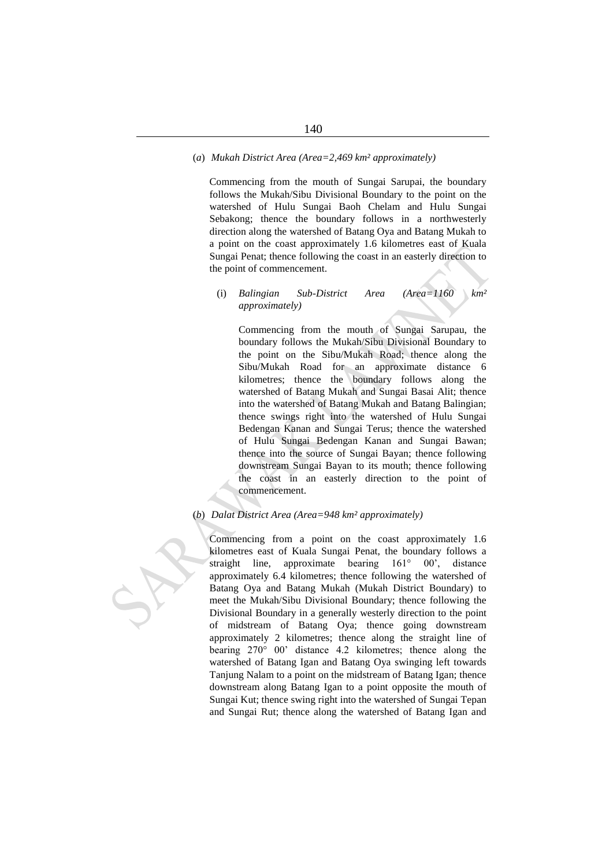#### (*a*) *Mukah District Area (Area=2,469 km² approximately)*

Commencing from the mouth of Sungai Sarupai, the boundary follows the Mukah/Sibu Divisional Boundary to the point on the watershed of Hulu Sungai Baoh Chelam and Hulu Sungai Sebakong; thence the boundary follows in a northwesterly direction along the watershed of Batang Oya and Batang Mukah to a point on the coast approximately 1.6 kilometres east of Kuala Sungai Penat; thence following the coast in an easterly direction to the point of commencement.

# (i) *Balingian Sub-District Area (Area=1160 km² approximately)*

Commencing from the mouth of Sungai Sarupau, the boundary follows the Mukah/Sibu Divisional Boundary to the point on the Sibu/Mukah Road; thence along the Sibu/Mukah Road for an approximate distance 6 kilometres; thence the boundary follows along the watershed of Batang Mukah and Sungai Basai Alit; thence into the watershed of Batang Mukah and Batang Balingian; thence swings right into the watershed of Hulu Sungai Bedengan Kanan and Sungai Terus; thence the watershed of Hulu Sungai Bedengan Kanan and Sungai Bawan; thence into the source of Sungai Bayan; thence following downstream Sungai Bayan to its mouth; thence following the coast in an easterly direction to the point of commencement.

# (*b*) *Dalat District Area (Area=948 km² approximately)*

Commencing from a point on the coast approximately 1.6 kilometres east of Kuala Sungai Penat, the boundary follows a straight line, approximate bearing 161° 00', distance approximately 6.4 kilometres; thence following the watershed of Batang Oya and Batang Mukah (Mukah District Boundary) to meet the Mukah/Sibu Divisional Boundary; thence following the Divisional Boundary in a generally westerly direction to the point of midstream of Batang Oya; thence going downstream approximately 2 kilometres; thence along the straight line of bearing 270° 00' distance 4.2 kilometres; thence along the watershed of Batang Igan and Batang Oya swinging left towards Tanjung Nalam to a point on the midstream of Batang Igan; thence downstream along Batang Igan to a point opposite the mouth of Sungai Kut; thence swing right into the watershed of Sungai Tepan and Sungai Rut; thence along the watershed of Batang Igan and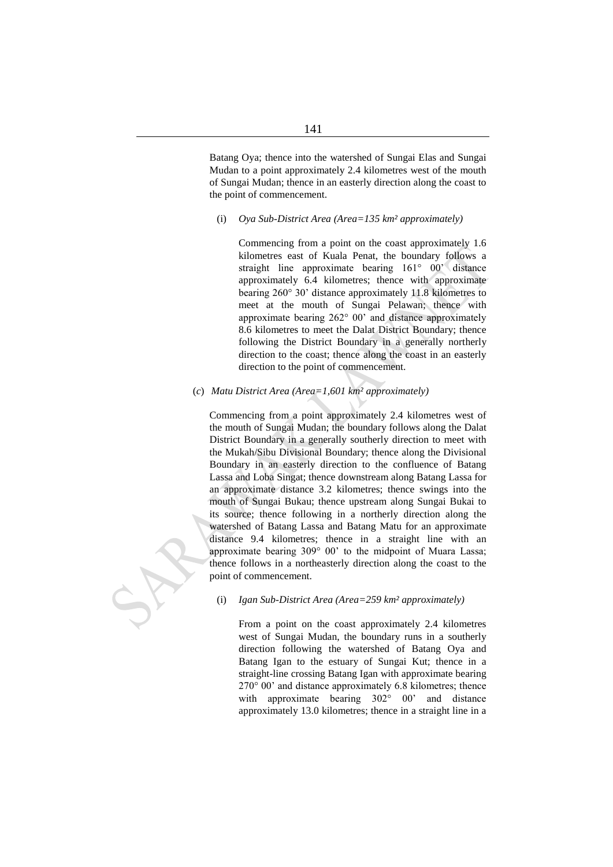Batang Oya; thence into the watershed of Sungai Elas and Sungai Mudan to a point approximately 2.4 kilometres west of the mouth of Sungai Mudan; thence in an easterly direction along the coast to the point of commencement.

(i) *Oya Sub-District Area (Area=135 km² approximately)*

Commencing from a point on the coast approximately 1.6 kilometres east of Kuala Penat, the boundary follows a straight line approximate bearing 161° 00' distance approximately 6.4 kilometres; thence with approximate bearing 260° 30' distance approximately 11.8 kilometres to meet at the mouth of Sungai Pelawan; thence with approximate bearing 262° 00' and distance approximately 8.6 kilometres to meet the Dalat District Boundary; thence following the District Boundary in a generally northerly direction to the coast; thence along the coast in an easterly direction to the point of commencement.

(*c*) *Matu District Area (Area=1,601 km² approximately)*

Commencing from a point approximately 2.4 kilometres west of the mouth of Sungai Mudan; the boundary follows along the Dalat District Boundary in a generally southerly direction to meet with the Mukah/Sibu Divisional Boundary; thence along the Divisional Boundary in an easterly direction to the confluence of Batang Lassa and Loba Singat; thence downstream along Batang Lassa for an approximate distance 3.2 kilometres; thence swings into the mouth of Sungai Bukau; thence upstream along Sungai Bukai to its source; thence following in a northerly direction along the watershed of Batang Lassa and Batang Matu for an approximate distance 9.4 kilometres; thence in a straight line with an approximate bearing 309° 00' to the midpoint of Muara Lassa; thence follows in a northeasterly direction along the coast to the point of commencement.

(i) *Igan Sub-District Area (Area=259 km² approximately)*

From a point on the coast approximately 2.4 kilometres west of Sungai Mudan, the boundary runs in a southerly direction following the watershed of Batang Oya and Batang Igan to the estuary of Sungai Kut; thence in a straight-line crossing Batang Igan with approximate bearing 270° 00' and distance approximately 6.8 kilometres; thence with approximate bearing 302° 00' and distance approximately 13.0 kilometres; thence in a straight line in a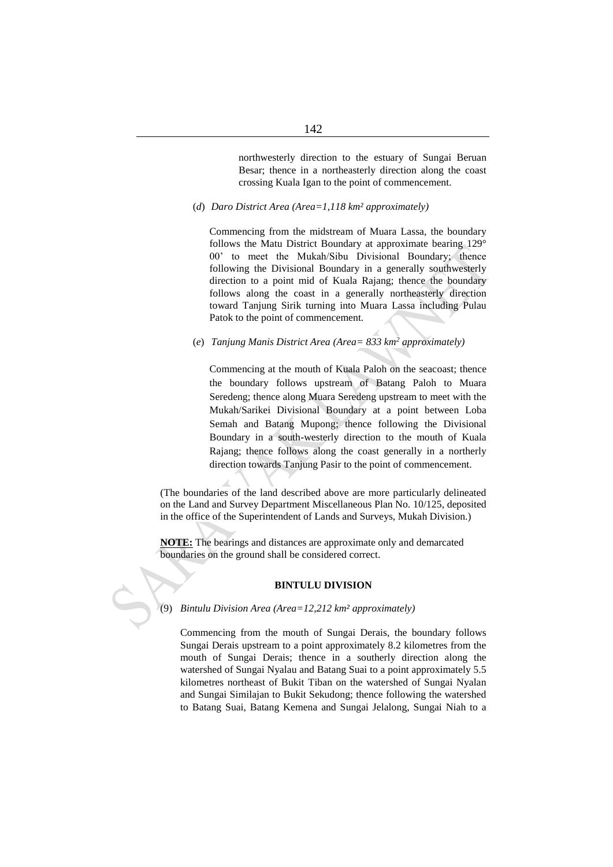northwesterly direction to the estuary of Sungai Beruan Besar; thence in a northeasterly direction along the coast crossing Kuala Igan to the point of commencement.

(*d*) *Daro District Area (Area=1,118 km² approximately)*

Commencing from the midstream of Muara Lassa, the boundary follows the Matu District Boundary at approximate bearing 129° 00' to meet the Mukah/Sibu Divisional Boundary; thence following the Divisional Boundary in a generally southwesterly direction to a point mid of Kuala Rajang; thence the boundary follows along the coast in a generally northeasterly direction toward Tanjung Sirik turning into Muara Lassa including Pulau Patok to the point of commencement.

(*e*) *Tanjung Manis District Area (Area= 833 km<sup>2</sup> approximately)*

Commencing at the mouth of Kuala Paloh on the seacoast; thence the boundary follows upstream of Batang Paloh to Muara Seredeng; thence along Muara Seredeng upstream to meet with the Mukah/Sarikei Divisional Boundary at a point between Loba Semah and Batang Mupong; thence following the Divisional Boundary in a south-westerly direction to the mouth of Kuala Rajang; thence follows along the coast generally in a northerly direction towards Tanjung Pasir to the point of commencement.

(The boundaries of the land described above are more particularly delineated on the Land and Survey Department Miscellaneous Plan No. 10/125, deposited in the office of the Superintendent of Lands and Surveys, Mukah Division.)

**NOTE:** The bearings and distances are approximate only and demarcated boundaries on the ground shall be considered correct.

## **BINTULU DIVISION**

(9) *Bintulu Division Area (Area=12,212 km² approximately)*

Commencing from the mouth of Sungai Derais, the boundary follows Sungai Derais upstream to a point approximately 8.2 kilometres from the mouth of Sungai Derais; thence in a southerly direction along the watershed of Sungai Nyalau and Batang Suai to a point approximately 5.5 kilometres northeast of Bukit Tiban on the watershed of Sungai Nyalan and Sungai Similajan to Bukit Sekudong; thence following the watershed to Batang Suai, Batang Kemena and Sungai Jelalong, Sungai Niah to a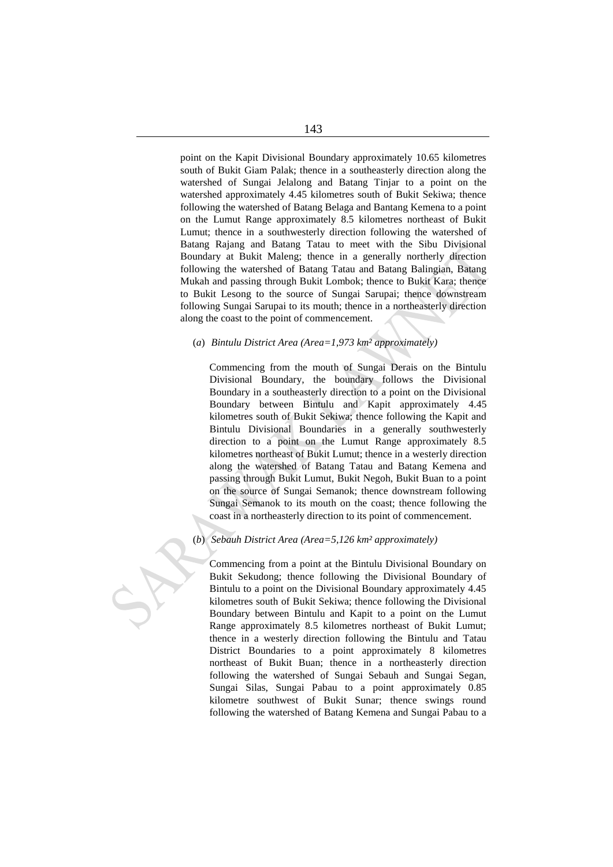point on the Kapit Divisional Boundary approximately 10.65 kilometres south of Bukit Giam Palak; thence in a southeasterly direction along the watershed of Sungai Jelalong and Batang Tinjar to a point on the watershed approximately 4.45 kilometres south of Bukit Sekiwa; thence following the watershed of Batang Belaga and Bantang Kemena to a point on the Lumut Range approximately 8.5 kilometres northeast of Bukit Lumut; thence in a southwesterly direction following the watershed of Batang Rajang and Batang Tatau to meet with the Sibu Divisional Boundary at Bukit Maleng; thence in a generally northerly direction following the watershed of Batang Tatau and Batang Balingian, Batang Mukah and passing through Bukit Lombok; thence to Bukit Kara; thence to Bukit Lesong to the source of Sungai Sarupai; thence downstream following Sungai Sarupai to its mouth; thence in a northeasterly direction along the coast to the point of commencement.

# (*a*) *Bintulu District Area (Area=1,973 km² approximately)*

Commencing from the mouth of Sungai Derais on the Bintulu Divisional Boundary, the boundary follows the Divisional Boundary in a southeasterly direction to a point on the Divisional Boundary between Bintulu and Kapit approximately 4.45 kilometres south of Bukit Sekiwa; thence following the Kapit and Bintulu Divisional Boundaries in a generally southwesterly direction to a point on the Lumut Range approximately 8.5 kilometres northeast of Bukit Lumut; thence in a westerly direction along the watershed of Batang Tatau and Batang Kemena and passing through Bukit Lumut, Bukit Negoh, Bukit Buan to a point on the source of Sungai Semanok; thence downstream following Sungai Semanok to its mouth on the coast; thence following the coast in a northeasterly direction to its point of commencement.

#### (*b*) *Sebauh District Area (Area=5,126 km² approximately)*

Commencing from a point at the Bintulu Divisional Boundary on Bukit Sekudong; thence following the Divisional Boundary of Bintulu to a point on the Divisional Boundary approximately 4.45 kilometres south of Bukit Sekiwa; thence following the Divisional Boundary between Bintulu and Kapit to a point on the Lumut Range approximately 8.5 kilometres northeast of Bukit Lumut; thence in a westerly direction following the Bintulu and Tatau District Boundaries to a point approximately 8 kilometres northeast of Bukit Buan; thence in a northeasterly direction following the watershed of Sungai Sebauh and Sungai Segan, Sungai Silas, Sungai Pabau to a point approximately 0.85 kilometre southwest of Bukit Sunar; thence swings round following the watershed of Batang Kemena and Sungai Pabau to a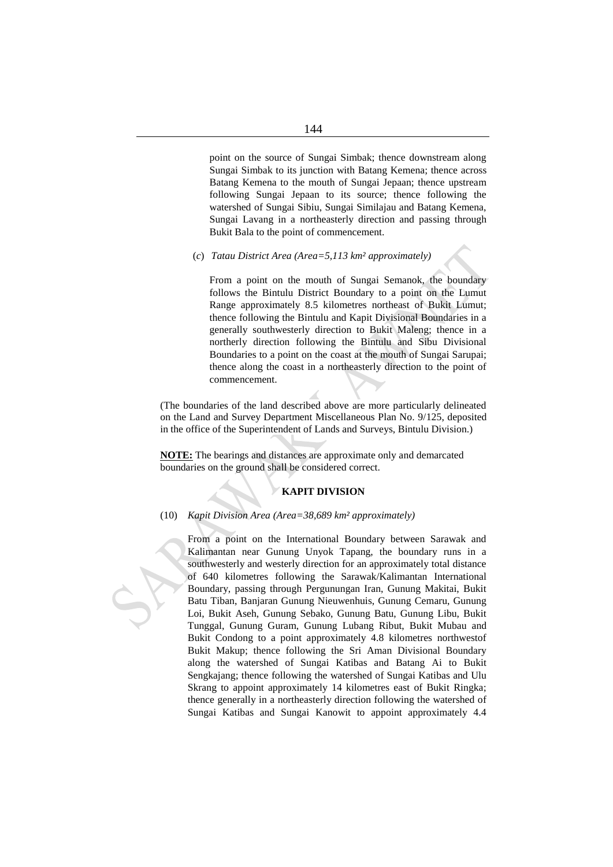point on the source of Sungai Simbak; thence downstream along Sungai Simbak to its junction with Batang Kemena; thence across Batang Kemena to the mouth of Sungai Jepaan; thence upstream following Sungai Jepaan to its source; thence following the watershed of Sungai Sibiu, Sungai Similajau and Batang Kemena, Sungai Lavang in a northeasterly direction and passing through Bukit Bala to the point of commencement.

#### (*c*) *Tatau District Area (Area=5,113 km² approximately)*

From a point on the mouth of Sungai Semanok, the boundary follows the Bintulu District Boundary to a point on the Lumut Range approximately 8.5 kilometres northeast of Bukit Lumut; thence following the Bintulu and Kapit Divisional Boundaries in a generally southwesterly direction to Bukit Maleng; thence in a northerly direction following the Bintulu and Sibu Divisional Boundaries to a point on the coast at the mouth of Sungai Sarupai; thence along the coast in a northeasterly direction to the point of commencement.

(The boundaries of the land described above are more particularly delineated on the Land and Survey Department Miscellaneous Plan No. 9/125, deposited in the office of the Superintendent of Lands and Surveys, Bintulu Division.)

**NOTE:** The bearings and distances are approximate only and demarcated boundaries on the ground shall be considered correct.

# **KAPIT DIVISION**

## (10) *Kapit Division Area (Area=38,689 km² approximately)*

From a point on the International Boundary between Sarawak and Kalimantan near Gunung Unyok Tapang, the boundary runs in a southwesterly and westerly direction for an approximately total distance of 640 kilometres following the Sarawak/Kalimantan International Boundary, passing through Pergunungan Iran, Gunung Makitai, Bukit Batu Tiban, Banjaran Gunung Nieuwenhuis, Gunung Cemaru, Gunung Loi, Bukit Aseh, Gunung Sebako, Gunung Batu, Gunung Libu, Bukit Tunggal, Gunung Guram, Gunung Lubang Ribut, Bukit Mubau and Bukit Condong to a point approximately 4.8 kilometres northwestof Bukit Makup; thence following the Sri Aman Divisional Boundary along the watershed of Sungai Katibas and Batang Ai to Bukit Sengkajang; thence following the watershed of Sungai Katibas and Ulu Skrang to appoint approximately 14 kilometres east of Bukit Ringka; thence generally in a northeasterly direction following the watershed of Sungai Katibas and Sungai Kanowit to appoint approximately 4.4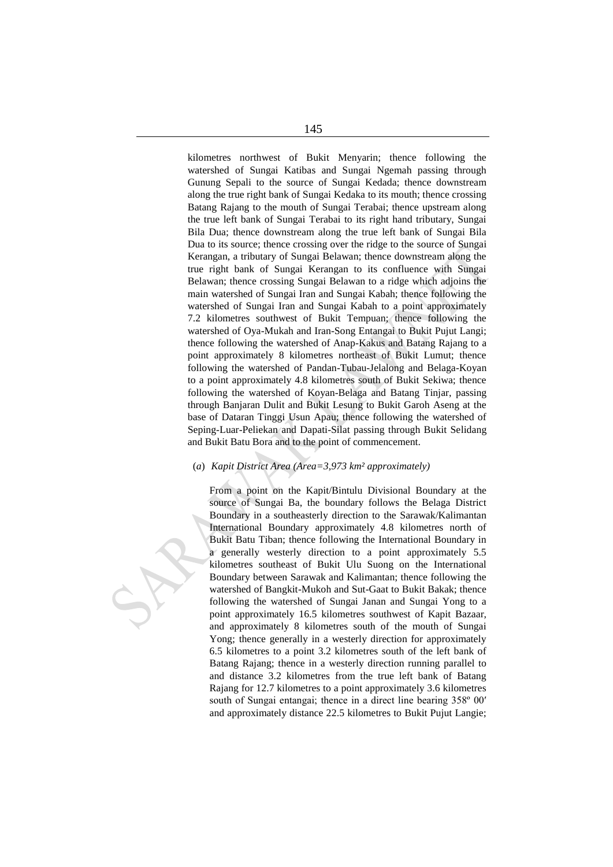kilometres northwest of Bukit Menyarin; thence following the watershed of Sungai Katibas and Sungai Ngemah passing through Gunung Sepali to the source of Sungai Kedada; thence downstream along the true right bank of Sungai Kedaka to its mouth; thence crossing Batang Rajang to the mouth of Sungai Terabai; thence upstream along the true left bank of Sungai Terabai to its right hand tributary, Sungai Bila Dua; thence downstream along the true left bank of Sungai Bila Dua to its source; thence crossing over the ridge to the source of Sungai Kerangan, a tributary of Sungai Belawan; thence downstream along the true right bank of Sungai Kerangan to its confluence with Sungai Belawan; thence crossing Sungai Belawan to a ridge which adjoins the main watershed of Sungai Iran and Sungai Kabah; thence following the watershed of Sungai Iran and Sungai Kabah to a point approximately 7.2 kilometres southwest of Bukit Tempuan; thence following the watershed of Oya-Mukah and Iran-Song Entangai to Bukit Pujut Langi; thence following the watershed of Anap-Kakus and Batang Rajang to a point approximately 8 kilometres northeast of Bukit Lumut; thence following the watershed of Pandan-Tubau-Jelalong and Belaga-Koyan to a point approximately 4.8 kilometres south of Bukit Sekiwa; thence following the watershed of Koyan-Belaga and Batang Tinjar, passing through Banjaran Dulit and Bukit Lesung to Bukit Garoh Aseng at the base of Dataran Tinggi Usun Apau; thence following the watershed of Seping-Luar-Peliekan and Dapati-Silat passing through Bukit Selidang and Bukit Batu Bora and to the point of commencement.

# (*a*) *Kapit District Area (Area=3,973 km² approximately)*

From a point on the Kapit/Bintulu Divisional Boundary at the source of Sungai Ba, the boundary follows the Belaga District Boundary in a southeasterly direction to the Sarawak/Kalimantan International Boundary approximately 4.8 kilometres north of Bukit Batu Tiban; thence following the International Boundary in a generally westerly direction to a point approximately 5.5 kilometres southeast of Bukit Ulu Suong on the International Boundary between Sarawak and Kalimantan; thence following the watershed of Bangkit-Mukoh and Sut-Gaat to Bukit Bakak; thence following the watershed of Sungai Janan and Sungai Yong to a point approximately 16.5 kilometres southwest of Kapit Bazaar, and approximately 8 kilometres south of the mouth of Sungai Yong; thence generally in a westerly direction for approximately 6.5 kilometres to a point 3.2 kilometres south of the left bank of Batang Rajang; thence in a westerly direction running parallel to and distance 3.2 kilometres from the true left bank of Batang Rajang for 12.7 kilometres to a point approximately 3.6 kilometres south of Sungai entangai; thence in a direct line bearing 358° 00' and approximately distance 22.5 kilometres to Bukit Pujut Langie;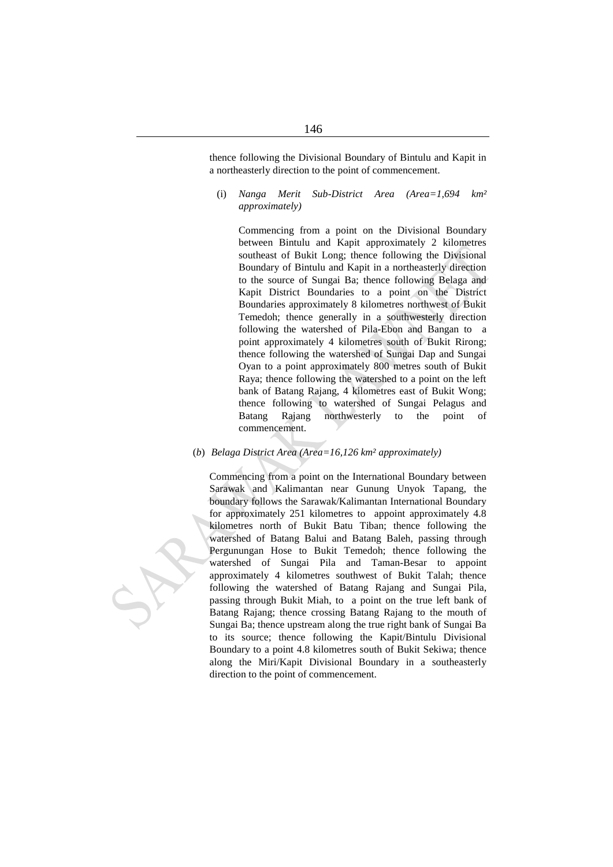thence following the Divisional Boundary of Bintulu and Kapit in a northeasterly direction to the point of commencement.

(i) *Nanga Merit Sub-District Area (Area=1,694 km² approximately)*

Commencing from a point on the Divisional Boundary between Bintulu and Kapit approximately 2 kilometres southeast of Bukit Long; thence following the Divisional Boundary of Bintulu and Kapit in a northeasterly direction to the source of Sungai Ba; thence following Belaga and Kapit District Boundaries to a point on the District Boundaries approximately 8 kilometres northwest of Bukit Temedoh; thence generally in a southwesterly direction following the watershed of Pila-Ebon and Bangan to a point approximately 4 kilometres south of Bukit Rirong; thence following the watershed of Sungai Dap and Sungai Oyan to a point approximately 800 metres south of Bukit Raya; thence following the watershed to a point on the left bank of Batang Rajang, 4 kilometres east of Bukit Wong; thence following to watershed of Sungai Pelagus and Batang Rajang northwesterly to the point of commencement.

(*b*) *Belaga District Area (Area=16,126 km² approximately)*

Commencing from a point on the International Boundary between Sarawak and Kalimantan near Gunung Unyok Tapang, the boundary follows the Sarawak/Kalimantan International Boundary for approximately 251 kilometres to appoint approximately 4.8 kilometres north of Bukit Batu Tiban; thence following the watershed of Batang Balui and Batang Baleh, passing through Pergunungan Hose to Bukit Temedoh; thence following the watershed of Sungai Pila and Taman-Besar to appoint approximately 4 kilometres southwest of Bukit Talah; thence following the watershed of Batang Rajang and Sungai Pila, passing through Bukit Miah, to a point on the true left bank of Batang Rajang; thence crossing Batang Rajang to the mouth of Sungai Ba; thence upstream along the true right bank of Sungai Ba to its source; thence following the Kapit/Bintulu Divisional Boundary to a point 4.8 kilometres south of Bukit Sekiwa; thence along the Miri/Kapit Divisional Boundary in a southeasterly direction to the point of commencement.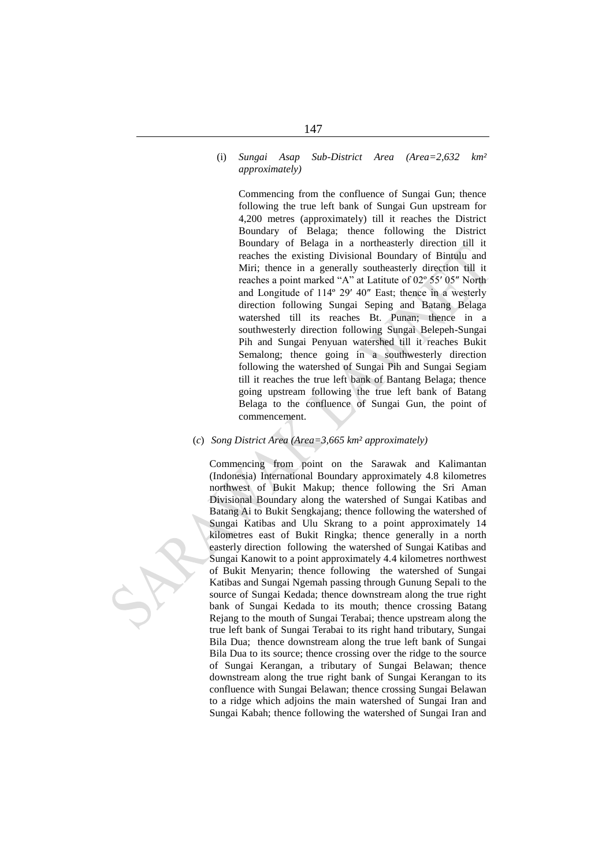# 147

(i) *Sungai Asap Sub-District Area (Area=2,632 km² approximately)*

Commencing from the confluence of Sungai Gun; thence following the true left bank of Sungai Gun upstream for 4,200 metres (approximately) till it reaches the District Boundary of Belaga; thence following the District Boundary of Belaga in a northeasterly direction till it reaches the existing Divisional Boundary of Bintulu and Miri; thence in a generally southeasterly direction till it reaches a point marked "A" at Latitute of 02º 55′ 05″ North and Longitude of 114º 29′ 40″ East; thence in a westerly direction following Sungai Seping and Batang Belaga watershed till its reaches Bt. Punan; thence in a southwesterly direction following Sungai Belepeh-Sungai Pih and Sungai Penyuan watershed till it reaches Bukit Semalong; thence going in a southwesterly direction following the watershed of Sungai Pih and Sungai Segiam till it reaches the true left bank of Bantang Belaga; thence going upstream following the true left bank of Batang Belaga to the confluence of Sungai Gun, the point of commencement.

(*c*) *Song District Area (Area=3,665 km² approximately)*

Commencing from point on the Sarawak and Kalimantan (Indonesia) International Boundary approximately 4.8 kilometres northwest of Bukit Makup; thence following the Sri Aman Divisional Boundary along the watershed of Sungai Katibas and Batang Ai to Bukit Sengkajang; thence following the watershed of Sungai Katibas and Ulu Skrang to a point approximately 14 kilometres east of Bukit Ringka; thence generally in a north easterly direction following the watershed of Sungai Katibas and Sungai Kanowit to a point approximately 4.4 kilometres northwest of Bukit Menyarin; thence following the watershed of Sungai Katibas and Sungai Ngemah passing through Gunung Sepali to the source of Sungai Kedada; thence downstream along the true right bank of Sungai Kedada to its mouth; thence crossing Batang Rejang to the mouth of Sungai Terabai; thence upstream along the true left bank of Sungai Terabai to its right hand tributary, Sungai Bila Dua; thence downstream along the true left bank of Sungai Bila Dua to its source; thence crossing over the ridge to the source of Sungai Kerangan, a tributary of Sungai Belawan; thence downstream along the true right bank of Sungai Kerangan to its confluence with Sungai Belawan; thence crossing Sungai Belawan to a ridge which adjoins the main watershed of Sungai Iran and Sungai Kabah; thence following the watershed of Sungai Iran and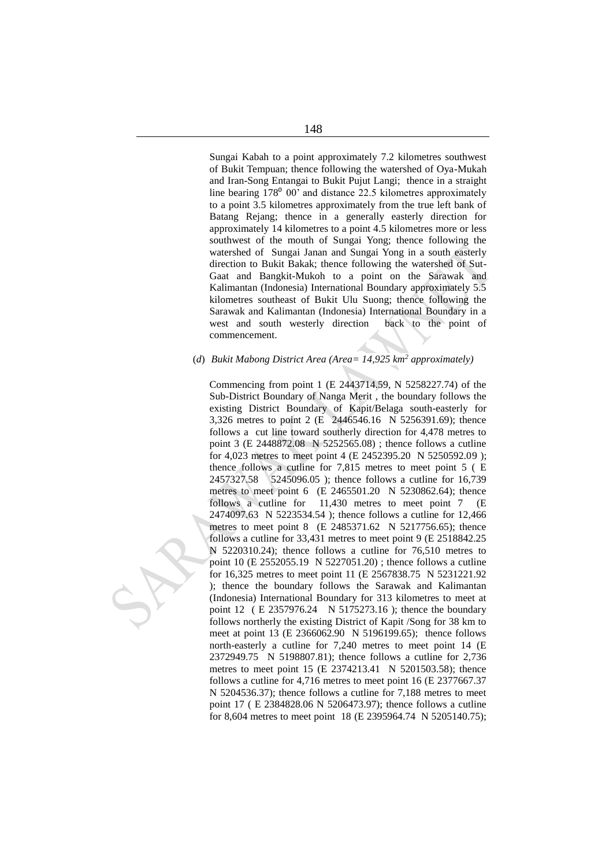Sungai Kabah to a point approximately 7.2 kilometres southwest of Bukit Tempuan; thence following the watershed of Oya-Mukah and Iran-Song Entangai to Bukit Pujut Langi; thence in a straight line bearing  $178^{\circ}$  00' and distance 22.5 kilometres approximately to a point 3.5 kilometres approximately from the true left bank of Batang Rejang; thence in a generally easterly direction for approximately 14 kilometres to a point 4.5 kilometres more or less southwest of the mouth of Sungai Yong; thence following the watershed of Sungai Janan and Sungai Yong in a south easterly direction to Bukit Bakak; thence following the watershed of Sut-Gaat and Bangkit-Mukoh to a point on the Sarawak and Kalimantan (Indonesia) International Boundary approximately 5.5 kilometres southeast of Bukit Ulu Suong; thence following the Sarawak and Kalimantan (Indonesia) International Boundary in a west and south westerly direction back to the point of commencement.

# (*d*) *Bukit Mabong District Area (Area= 14,925 km<sup>2</sup> approximately)*

Commencing from point 1 (E 2443714.59, N 5258227.74) of the Sub-District Boundary of Nanga Merit , the boundary follows the existing District Boundary of Kapit/Belaga south-easterly for 3,326 metres to point 2 (E 2446546.16 N 5256391.69); thence follows a cut line toward southerly direction for 4,478 metres to point 3 (E 2448872.08 N 5252565.08) ; thence follows a cutline for 4,023 metres to meet point 4 (E 2452395.20 N 5250592.09 ); thence follows a cutline for 7,815 metres to meet point 5 ( E 2457327.58 5245096.05 ); thence follows a cutline for 16,739 metres to meet point 6 (E 2465501.20 N 5230862.64); thence follows a cutline for 11,430 metres to meet point 7 (E 2474097.63 N 5223534.54 ); thence follows a cutline for 12,466 metres to meet point 8 (E 2485371.62 N 5217756.65); thence follows a cutline for 33,431 metres to meet point 9 (E 2518842.25 N 5220310.24); thence follows a cutline for 76,510 metres to point 10 (E 2552055.19 N 5227051.20) ; thence follows a cutline for 16,325 metres to meet point 11 (E 2567838.75 N 5231221.92 ); thence the boundary follows the Sarawak and Kalimantan (Indonesia) International Boundary for 313 kilometres to meet at point 12 ( E 2357976.24 N 5175273.16 ); thence the boundary follows northerly the existing District of Kapit /Song for 38 km to meet at point 13 (E 2366062.90 N 5196199.65); thence follows north-easterly a cutline for 7,240 metres to meet point 14 (E 2372949.75 N 5198807.81); thence follows a cutline for 2,736 metres to meet point 15 (E 2374213.41 N 5201503.58); thence follows a cutline for 4,716 metres to meet point 16 (E 2377667.37 N 5204536.37); thence follows a cutline for 7,188 metres to meet point 17 ( E 2384828.06 N 5206473.97); thence follows a cutline for 8,604 metres to meet point 18 (E 2395964.74 N 5205140.75);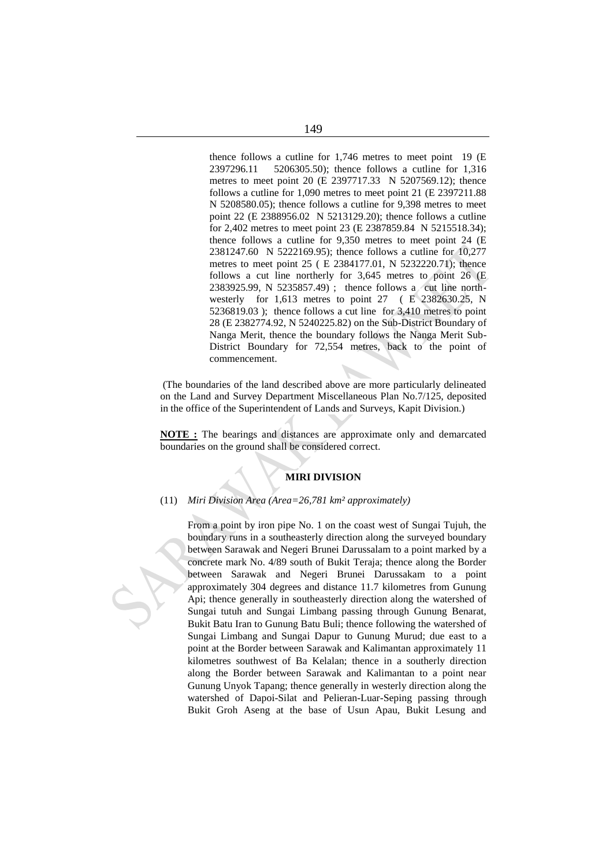thence follows a cutline for 1,746 metres to meet point 19 (E 2397296.11 5206305.50); thence follows a cutline for 1,316 metres to meet point 20 (E 2397717.33 N 5207569.12); thence follows a cutline for 1,090 metres to meet point 21 (E 2397211.88 N 5208580.05); thence follows a cutline for 9,398 metres to meet point 22 (E 2388956.02 N 5213129.20); thence follows a cutline for 2,402 metres to meet point 23 (E 2387859.84 N 5215518.34); thence follows a cutline for 9,350 metres to meet point 24 (E 2381247.60 N 5222169.95); thence follows a cutline for 10,277 metres to meet point 25 ( E 2384177.01, N 5232220.71); thence follows a cut line northerly for 3,645 metres to point 26 (E 2383925.99, N 5235857.49) ; thence follows a cut line northwesterly for 1,613 metres to point 27 ( E 2382630.25, N 5236819.03 ); thence follows a cut line for 3,410 metres to point 28 (E 2382774.92, N 5240225.82) on the Sub-District Boundary of Nanga Merit, thence the boundary follows the Nanga Merit Sub-District Boundary for 72,554 metres, back to the point of commencement.

(The boundaries of the land described above are more particularly delineated on the Land and Survey Department Miscellaneous Plan No.7/125, deposited in the office of the Superintendent of Lands and Surveys, Kapit Division.)

**NOTE :** The bearings and distances are approximate only and demarcated boundaries on the ground shall be considered correct.

# **MIRI DIVISION**

## (11) *Miri Division Area (Area=26,781 km² approximately)*

From a point by iron pipe No. 1 on the coast west of Sungai Tujuh, the boundary runs in a southeasterly direction along the surveyed boundary between Sarawak and Negeri Brunei Darussalam to a point marked by a concrete mark No. 4/89 south of Bukit Teraja; thence along the Border between Sarawak and Negeri Brunei Darussakam to a point approximately 304 degrees and distance 11.7 kilometres from Gunung Api; thence generally in southeasterly direction along the watershed of Sungai tutuh and Sungai Limbang passing through Gunung Benarat, Bukit Batu Iran to Gunung Batu Buli; thence following the watershed of Sungai Limbang and Sungai Dapur to Gunung Murud; due east to a point at the Border between Sarawak and Kalimantan approximately 11 kilometres southwest of Ba Kelalan; thence in a southerly direction along the Border between Sarawak and Kalimantan to a point near Gunung Unyok Tapang; thence generally in westerly direction along the watershed of Dapoi-Silat and Pelieran-Luar-Seping passing through Bukit Groh Aseng at the base of Usun Apau, Bukit Lesung and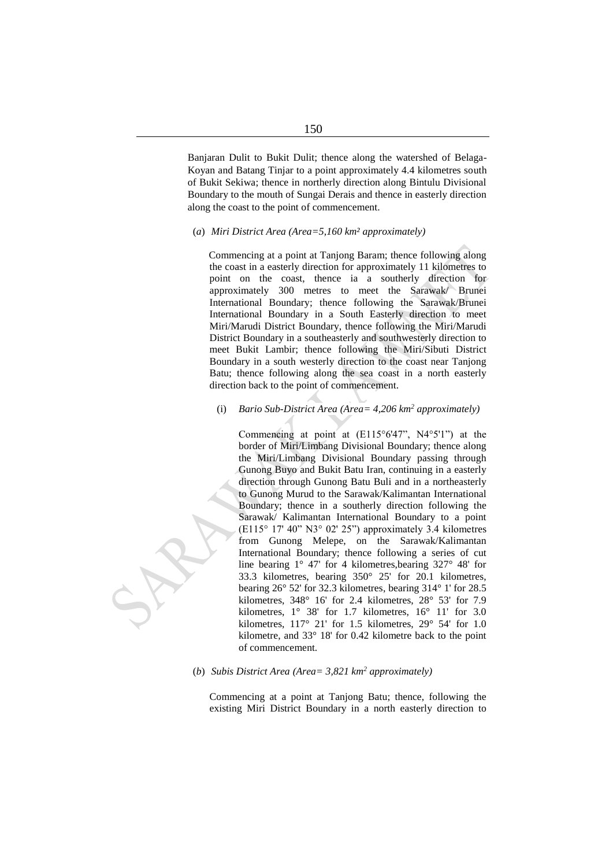Banjaran Dulit to Bukit Dulit; thence along the watershed of Belaga-Koyan and Batang Tinjar to a point approximately 4.4 kilometres south of Bukit Sekiwa; thence in northerly direction along Bintulu Divisional Boundary to the mouth of Sungai Derais and thence in easterly direction along the coast to the point of commencement.

#### (*a*) *Miri District Area (Area=5,160 km² approximately)*

Commencing at a point at Tanjong Baram; thence following along the coast in a easterly direction for approximately 11 kilometres to point on the coast, thence ia a southerly direction for approximately 300 metres to meet the Sarawak/ Brunei International Boundary; thence following the Sarawak/Brunei International Boundary in a South Easterly direction to meet Miri/Marudi District Boundary, thence following the Miri/Marudi District Boundary in a southeasterly and southwesterly direction to meet Bukit Lambir; thence following the Miri/Sibuti District Boundary in a south westerly direction to the coast near Tanjong Batu; thence following along the sea coast in a north easterly direction back to the point of commencement.

#### (i) *Bario Sub-District Area (Area= 4,206 km<sup>2</sup> approximately)*

Commencing at point at (E115°6'47", N4°5'1") at the border of Miri/Limbang Divisional Boundary; thence along the Miri/Limbang Divisional Boundary passing through Gunong Buyo and Bukit Batu Iran, continuing in a easterly direction through Gunong Batu Buli and in a northeasterly to Gunong Murud to the Sarawak/Kalimantan International Boundary; thence in a southerly direction following the Sarawak/ Kalimantan International Boundary to a point (E115° 17' 40" N3° 02' 25") approximately 3.4 kilometres from Gunong Melepe, on the Sarawak/Kalimantan International Boundary; thence following a series of cut line bearing 1° 47' for 4 kilometres,bearing 327° 48' for 33.3 kilometres, bearing 350° 25' for 20.1 kilometres, bearing 26° 52' for 32.3 kilometres, bearing 314° 1' for 28.5 kilometres, 348° 16' for 2.4 kilometres, 28° 53' for 7.9 kilometres, 1° 38' for 1.7 kilometres, 16° 11' for 3.0 kilometres, 117° 21' for 1.5 kilometres, 29° 54' for 1.0 kilometre, and 33° 18' for 0.42 kilometre back to the point of commencement.

# (*b*) *Subis District Area (Area= 3,821 km<sup>2</sup> approximately)*

Commencing at a point at Tanjong Batu; thence, following the existing Miri District Boundary in a north easterly direction to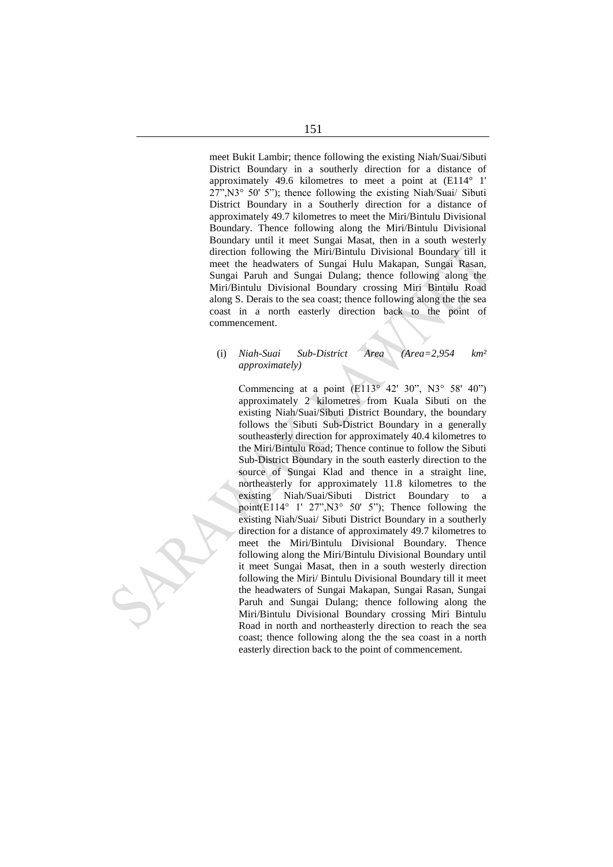meet Bukit Lambir; thence following the existing Niah/Suai/Sibuti District Boundary in a southerly direction for a distance of approximately 49.6 kilometres to meet a point at (E114° 1' 27",N3° 50' 5"); thence following the existing Niah/Suai/ Sibuti District Boundary in a Southerly direction for a distance of approximately 49.7 kilometres to meet the Miri/Bintulu Divisional Boundary. Thence following along the Miri/Bintulu Divisional Boundary until it meet Sungai Masat, then in a south westerly direction following the Miri/Bintulu Divisional Boundary till it meet the headwaters of Sungai Hulu Makapan, Sungai Rasan, Sungai Paruh and Sungai Dulang; thence following along the Miri/Bintulu Divisional Boundary crossing Miri Bintulu Road along S. Derais to the sea coast; thence following along the the sea coast in a north easterly direction back to the point of commencement.

## (i) *Niah-Suai Sub-District Area (Area=2,954 km² approximately)*

Commencing at a point  $(E113^{\circ} 42' 30''$ , N3° 58' 40") approximately 2 kilometres from Kuala Sibuti on the existing Niah/Suai/Sibuti District Boundary, the boundary follows the Sibuti Sub-District Boundary in a generally southeasterly direction for approximately 40.4 kilometres to the Miri/Bintulu Road; Thence continue to follow the Sibuti Sub-District Boundary in the south easterly direction to the source of Sungai Klad and thence in a straight line, northeasterly for approximately 11.8 kilometres to the existing Niah/Suai/Sibuti District Boundary to a point(E114° 1' 27",N3° 50' 5"); Thence following the existing Niah/Suai/ Sibuti District Boundary in a southerly direction for a distance of approximately 49.7 kilometres to meet the Miri/Bintulu Divisional Boundary. Thence following along the Miri/Bintulu Divisional Boundary until it meet Sungai Masat, then in a south westerly direction following the Miri/ Bintulu Divisional Boundary till it meet the headwaters of Sungai Makapan, Sungai Rasan, Sungai Paruh and Sungai Dulang; thence following along the Miri/Bintulu Divisional Boundary crossing Miri Bintulu Road in north and northeasterly direction to reach the sea coast; thence following along the the sea coast in a north easterly direction back to the point of commencement.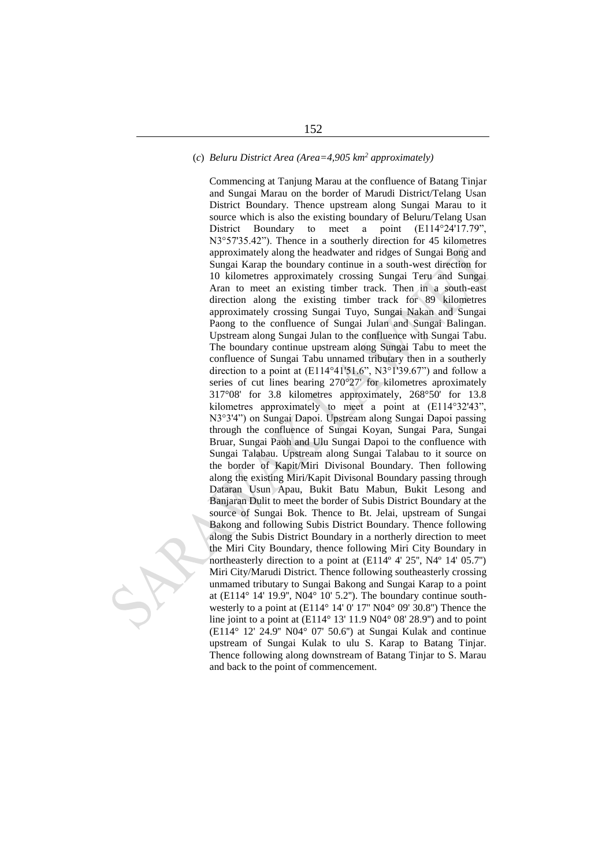# (*c*) *Beluru District Area (Area=4,905 km<sup>2</sup> approximately)*

Commencing at Tanjung Marau at the confluence of Batang Tinjar and Sungai Marau on the border of Marudi District/Telang Usan District Boundary. Thence upstream along Sungai Marau to it source which is also the existing boundary of Beluru/Telang Usan District Boundary to meet a point (E114°24'17.79", N3°57'35.42"). Thence in a southerly direction for 45 kilometres approximately along the headwater and ridges of Sungai Bong and Sungai Karap the boundary continue in a south-west direction for 10 kilometres approximately crossing Sungai Teru and Sungai Aran to meet an existing timber track. Then in a south-east direction along the existing timber track for 89 kilometres approximately crossing Sungai Tuyo, Sungai Nakan and Sungai Paong to the confluence of Sungai Julan and Sungai Balingan. Upstream along Sungai Julan to the confluence with Sungai Tabu. The boundary continue upstream along Sungai Tabu to meet the confluence of Sungai Tabu unnamed tributary then in a southerly direction to a point at (E114°41'51.6", N3°1'39.67") and follow a series of cut lines bearing 270°27' for kilometres aproximately 317°08' for 3.8 kilometres approximately, 268°50' for 13.8 kilometres approximately to meet a point at (E114°32'43", N3°3'4") on Sungai Dapoi. Upstream along Sungai Dapoi passing through the confluence of Sungai Koyan, Sungai Para, Sungai Bruar, Sungai Paoh and Ulu Sungai Dapoi to the confluence with Sungai Talabau. Upstream along Sungai Talabau to it source on the border of Kapit/Miri Divisonal Boundary. Then following along the existing Miri/Kapit Divisonal Boundary passing through Dataran Usun Apau, Bukit Batu Mabun, Bukit Lesong and Banjaran Dulit to meet the border of Subis District Boundary at the source of Sungai Bok. Thence to Bt. Jelai, upstream of Sungai Bakong and following Subis District Boundary. Thence following along the Subis District Boundary in a northerly direction to meet the Miri City Boundary, thence following Miri City Boundary in northeasterly direction to a point at  $(E114^{\circ} 4' 25'$ ,  $N4^{\circ} 14' 05.7'')$ Miri City/Marudi District. Thence following southeasterly crossing unmamed tributary to Sungai Bakong and Sungai Karap to a point at (E114 $\degree$  14' 19.9", N04 $\degree$  10' 5.2"). The boundary continue southwesterly to a point at (E114° 14' 0' 17'' N04° 09' 30.8'') Thence the line joint to a point at (E114° 13' 11.9 N04° 08' 28.9'') and to point (E114° 12' 24.9'' N04° 07' 50.6'') at Sungai Kulak and continue upstream of Sungai Kulak to ulu S. Karap to Batang Tinjar. Thence following along downstream of Batang Tinjar to S. Marau and back to the point of commencement.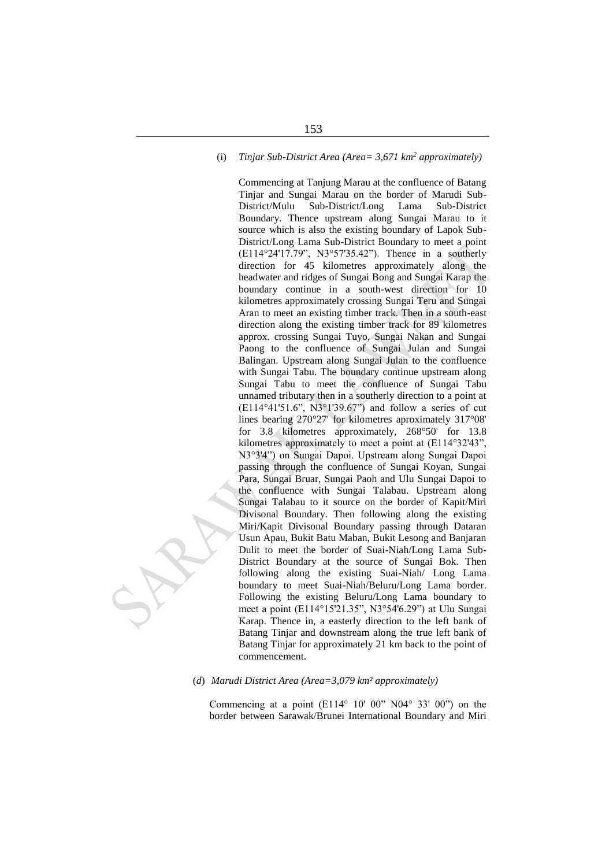# (i) *Tinjar Sub-District Area (Area= 3,671 km<sup>2</sup> approximately)*

Commencing at Tanjung Marau at the confluence of Batang Tinjar and Sungai Marau on the border of Marudi Sub-District/Mulu Sub-District/Long Lama Sub-District Boundary. Thence upstream along Sungai Marau to it source which is also the existing boundary of Lapok Sub-District/Long Lama Sub-District Boundary to meet a point (E114°24'17.79", N3°57'35.42"). Thence in a southerly direction for 45 kilometres approximately along the headwater and ridges of Sungai Bong and Sungai Karap the boundary continue in a south-west direction for 10 kilometres approximately crossing Sungai Teru and Sungai Aran to meet an existing timber track. Then in a south-east direction along the existing timber track for 89 kilometres approx. crossing Sungai Tuyo, Sungai Nakan and Sungai Paong to the confluence of Sungai Julan and Sungai Balingan. Upstream along Sungai Julan to the confluence with Sungai Tabu. The boundary continue upstream along Sungai Tabu to meet the confluence of Sungai Tabu unnamed tributary then in a southerly direction to a point at (E114°41'51.6", N3°1'39.67") and follow a series of cut lines bearing 270°27' for kilometres aproximately 317°08' for 3.8 kilometres approximately, 268°50' for 13.8 kilometres approximately to meet a point at (E114°32'43", N3°3'4") on Sungai Dapoi. Upstream along Sungai Dapoi passing through the confluence of Sungai Koyan, Sungai Para, Sungai Bruar, Sungai Paoh and Ulu Sungai Dapoi to the confluence with Sungai Talabau. Upstream along Sungai Talabau to it source on the border of Kapit/Miri Divisonal Boundary. Then following along the existing Miri/Kapit Divisonal Boundary passing through Dataran Usun Apau, Bukit Batu Maban, Bukit Lesong and Banjaran Dulit to meet the border of Suai-Niah/Long Lama Sub-District Boundary at the source of Sungai Bok. Then following along the existing Suai-Niah/ Long Lama boundary to meet Suai-Niah/Beluru/Long Lama border. Following the existing Beluru/Long Lama boundary to meet a point (E114°15'21.35", N3°54'6.29") at Ulu Sungai Karap. Thence in, a easterly direction to the left bank of Batang Tinjar and downstream along the true left bank of Batang Tinjar for approximately 21 km back to the point of commencement.

(*d*) *Marudi District Area (Area=3,079 km² approximately)*

Commencing at a point  $(E114^{\circ} 10' 00'' N04^{\circ} 33' 00'')$  on the border between Sarawak/Brunei International Boundary and Miri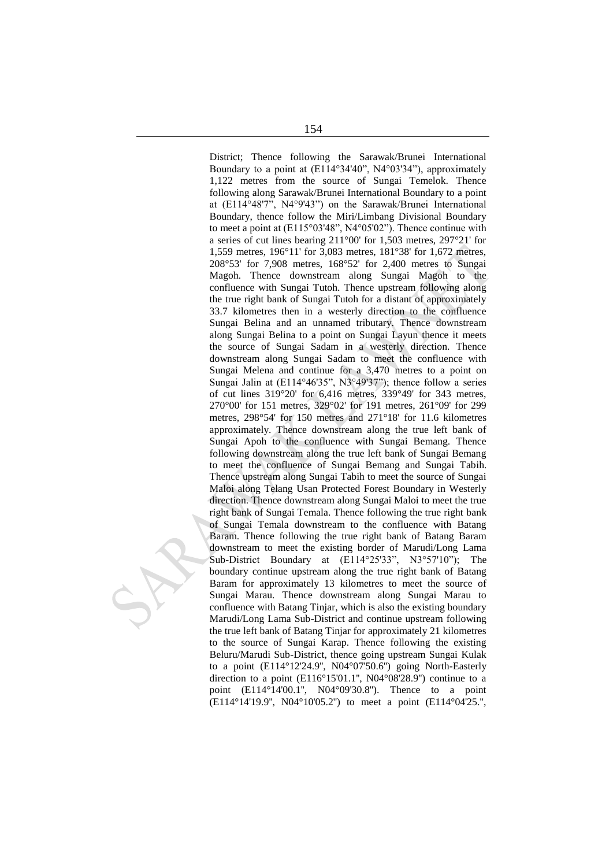District; Thence following the Sarawak/Brunei International Boundary to a point at (E114°34'40", N4°03'34"), approximately 1,122 metres from the source of Sungai Temelok. Thence following along Sarawak/Brunei International Boundary to a point at (E114°48'7", N4°9'43") on the Sarawak/Brunei International Boundary, thence follow the Miri/Limbang Divisional Boundary to meet a point at (E115°03'48", N4°05'02"). Thence continue with a series of cut lines bearing 211°00' for 1,503 metres, 297°21' for 1,559 metres, 196°11' for 3,083 metres, 181°38' for 1,672 metres, 208°53' for 7,908 metres, 168°52' for 2,400 metres to Sungai Magoh. Thence downstream along Sungai Magoh to the confluence with Sungai Tutoh. Thence upstream following along the true right bank of Sungai Tutoh for a distant of approximately 33.7 kilometres then in a westerly direction to the confluence Sungai Belina and an unnamed tributary. Thence downstream along Sungai Belina to a point on Sungai Layun thence it meets the source of Sungai Sadam in a westerly direction. Thence downstream along Sungai Sadam to meet the confluence with Sungai Melena and continue for a 3,470 metres to a point on Sungai Jalin at (E114°46'35", N3°49'37"); thence follow a series of cut lines 319°20' for 6,416 metres, 339°49' for 343 metres, 270°00' for 151 metres, 329°02' for 191 metres, 261°09' for 299 metres, 298°54' for 150 metres and 271°18' for 11.6 kilometres approximately. Thence downstream along the true left bank of Sungai Apoh to the confluence with Sungai Bemang. Thence following downstream along the true left bank of Sungai Bemang to meet the confluence of Sungai Bemang and Sungai Tabih. Thence upstream along Sungai Tabih to meet the source of Sungai Maloi along Telang Usan Protected Forest Boundary in Westerly direction. Thence downstream along Sungai Maloi to meet the true right bank of Sungai Temala. Thence following the true right bank of Sungai Temala downstream to the confluence with Batang Baram. Thence following the true right bank of Batang Baram downstream to meet the existing border of Marudi/Long Lama Sub-District Boundary at (E114°25'33", N3°57'10"); The boundary continue upstream along the true right bank of Batang Baram for approximately 13 kilometres to meet the source of Sungai Marau. Thence downstream along Sungai Marau to confluence with Batang Tinjar, which is also the existing boundary Marudi/Long Lama Sub-District and continue upstream following the true left bank of Batang Tinjar for approximately 21 kilometres to the source of Sungai Karap. Thence following the existing Beluru/Marudi Sub-District, thence going upstream Sungai Kulak to a point (E114°12'24.9'', N04°07'50.6'') going North-Easterly direction to a point  $(E116^{\circ}15'01.1'$ , N04°08'28.9") continue to a point (E114°14'00.1'', N04°09'30.8''). Thence to a point (E114°14'19.9'', N04°10'05.2'') to meet a point (E114°04'25.'',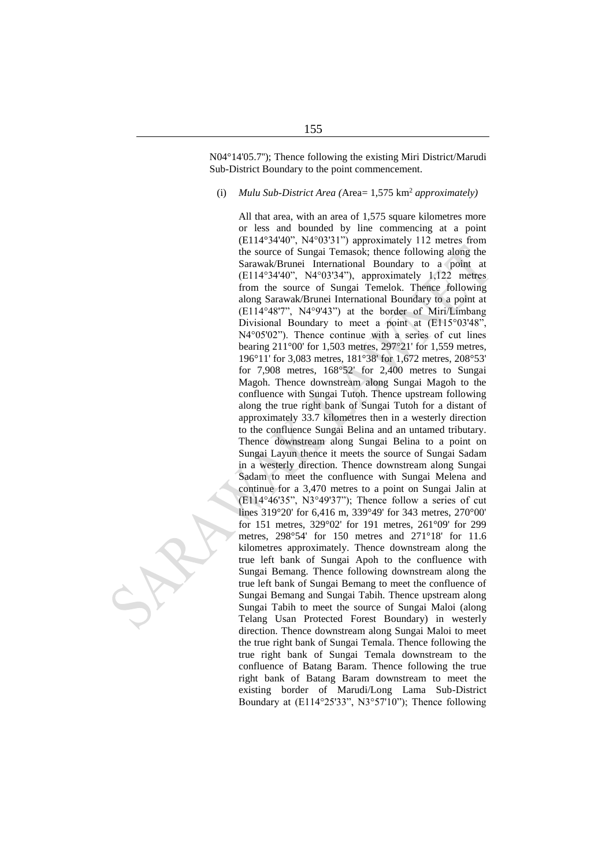N04°14'05.7''); Thence following the existing Miri District/Marudi Sub-District Boundary to the point commencement.

#### (i) *Mulu Sub-District Area (*Area= 1,575 km<sup>2</sup> *approximately)*

All that area, with an area of 1,575 square kilometres more or less and bounded by line commencing at a point (E114°34'40", N4°03'31") approximately 112 metres from the source of Sungai Temasok; thence following along the Sarawak/Brunei International Boundary to a point at (E114°34'40", N4°03'34"), approximately 1,122 metres from the source of Sungai Temelok. Thence following along Sarawak/Brunei International Boundary to a point at (E114°48'7", N4°9'43") at the border of Miri/Limbang Divisional Boundary to meet a point at (E115°03'48", N4°05'02"). Thence continue with a series of cut lines bearing 211°00' for 1,503 metres, 297°21' for 1,559 metres, 196°11' for 3,083 metres, 181°38' for 1,672 metres, 208°53' for 7,908 metres, 168°52' for 2,400 metres to Sungai Magoh. Thence downstream along Sungai Magoh to the confluence with Sungai Tutoh. Thence upstream following along the true right bank of Sungai Tutoh for a distant of approximately 33.7 kilometres then in a westerly direction to the confluence Sungai Belina and an untamed tributary. Thence downstream along Sungai Belina to a point on Sungai Layun thence it meets the source of Sungai Sadam in a westerly direction. Thence downstream along Sungai Sadam to meet the confluence with Sungai Melena and continue for a 3,470 metres to a point on Sungai Jalin at  $(E114°46'35"$ , N3°49'37"); Thence follow a series of cut lines 319°20' for 6,416 m, 339°49' for 343 metres, 270°00' for 151 metres, 329°02' for 191 metres, 261°09' for 299 metres, 298°54' for 150 metres and 271°18' for 11.6 kilometres approximately. Thence downstream along the true left bank of Sungai Apoh to the confluence with Sungai Bemang. Thence following downstream along the true left bank of Sungai Bemang to meet the confluence of Sungai Bemang and Sungai Tabih. Thence upstream along Sungai Tabih to meet the source of Sungai Maloi (along Telang Usan Protected Forest Boundary) in westerly direction. Thence downstream along Sungai Maloi to meet the true right bank of Sungai Temala. Thence following the true right bank of Sungai Temala downstream to the confluence of Batang Baram. Thence following the true right bank of Batang Baram downstream to meet the existing border of Marudi/Long Lama Sub-District Boundary at (E114°25'33", N3°57'10"); Thence following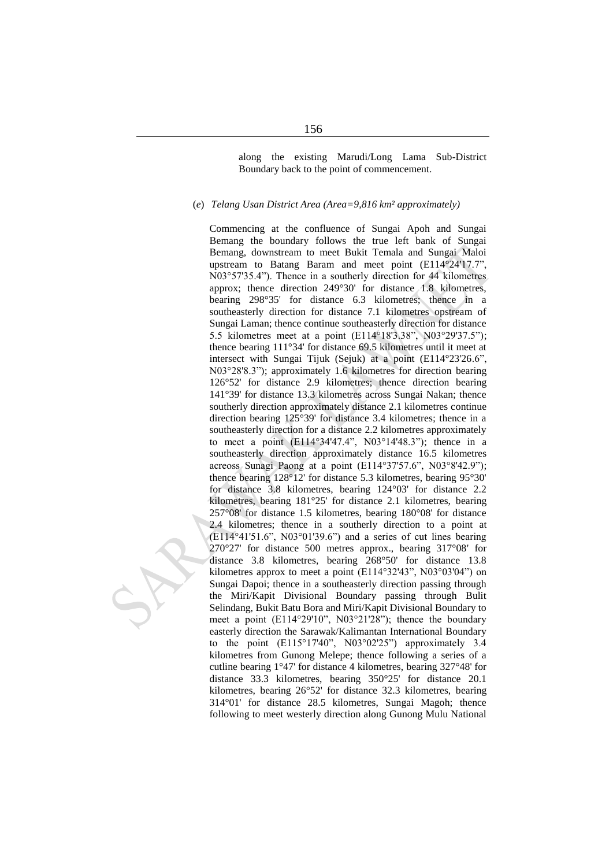along the existing Marudi/Long Lama Sub-District Boundary back to the point of commencement.

#### (*e*) *Telang Usan District Area (Area=9,816 km² approximately)*

Commencing at the confluence of Sungai Apoh and Sungai Bemang the boundary follows the true left bank of Sungai Bemang, downstream to meet Bukit Temala and Sungai Maloi upstream to Batang Baram and meet point (E114°24'17.7", N03°57'35.4"). Thence in a southerly direction for 44 kilometres approx; thence direction 249°30' for distance 1.8 kilometres, bearing 298°35' for distance 6.3 kilometres; thence in a southeasterly direction for distance 7.1 kilometres opstream of Sungai Laman; thence continue southeasterly direction for distance 5.5 kilometres meet at a point (E114°18'3.38", N03°29'37.5"); thence bearing 111°34' for distance 69.5 kilometres until it meet at intersect with Sungai Tijuk (Sejuk) at a point (E114°23'26.6", N03°28'8.3"); approximately 1.6 kilometres for direction bearing 126°52' for distance 2.9 kilometres; thence direction bearing 141°39' for distance 13.3 kilometres across Sungai Nakan; thence southerly direction approximately distance 2.1 kilometres continue direction bearing 125°39' for distance 3.4 kilometres; thence in a southeasterly direction for a distance 2.2 kilometres approximately to meet a point (E114°34'47.4", N03°14'48.3"); thence in a southeasterly direction approximately distance 16.5 kilometres acreoss Sunagi Paong at a point (E114°37'57.6", N03°8'42.9"); thence bearing 128°12' for distance 5.3 kilometres, bearing 95°30' for distance 3.8 kilometres, bearing 124°03' for distance 2.2 kilometres, bearing 181°25' for distance 2.1 kilometres, bearing 257°08' for distance 1.5 kilometres, bearing 180°08' for distance 2.4 kilometres; thence in a southerly direction to a point at (E114°41'51.6", N03°01'39.6") and a series of cut lines bearing 270°27' for distance 500 metres approx., bearing 317°08' for distance 3.8 kilometres, bearing 268°50' for distance 13.8 kilometres approx to meet a point (E114°32'43", N03°03'04") on Sungai Dapoi; thence in a southeasterly direction passing through the Miri/Kapit Divisional Boundary passing through Bulit Selindang, Bukit Batu Bora and Miri/Kapit Divisional Boundary to meet a point (E114°29'10", N03°21'28"); thence the boundary easterly direction the Sarawak/Kalimantan International Boundary to the point (E115°17'40", N03°02'25") approximately 3.4 kilometres from Gunong Melepe; thence following a series of a cutline bearing 1°47' for distance 4 kilometres, bearing 327°48' for distance 33.3 kilometres, bearing 350°25' for distance 20.1 kilometres, bearing 26°52' for distance 32.3 kilometres, bearing 314°01' for distance 28.5 kilometres, Sungai Magoh; thence following to meet westerly direction along Gunong Mulu National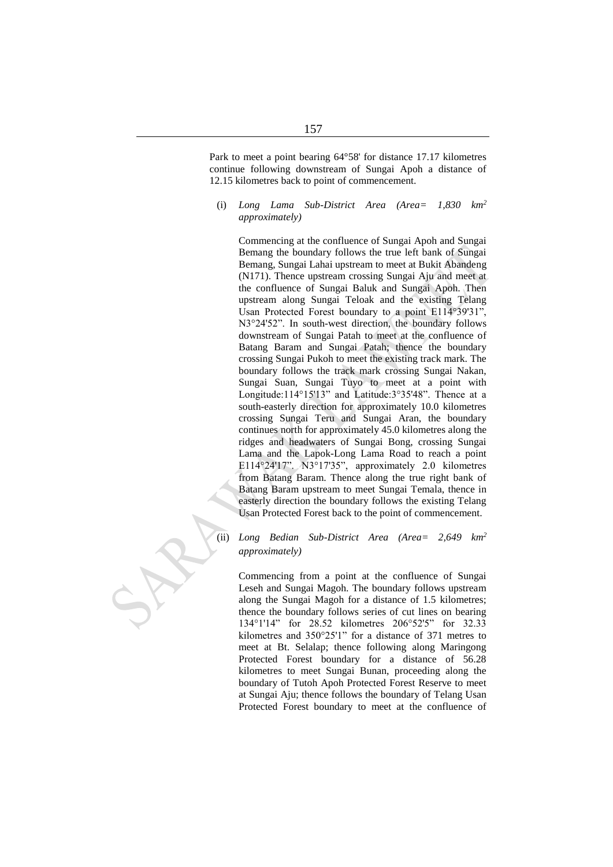Park to meet a point bearing 64°58' for distance 17.17 kilometres continue following downstream of Sungai Apoh a distance of 12.15 kilometres back to point of commencement.

(i) *Long Lama Sub-District Area (Area= 1,830 km<sup>2</sup> approximately)*

Commencing at the confluence of Sungai Apoh and Sungai Bemang the boundary follows the true left bank of Sungai Bemang, Sungai Lahai upstream to meet at Bukit Abandeng (N171). Thence upstream crossing Sungai Aju and meet at the confluence of Sungai Baluk and Sungai Apoh. Then upstream along Sungai Teloak and the existing Telang Usan Protected Forest boundary to a point E114°39'31" N3°24'52". In south-west direction, the boundary follows downstream of Sungai Patah to meet at the confluence of Batang Baram and Sungai Patah; thence the boundary crossing Sungai Pukoh to meet the existing track mark. The boundary follows the track mark crossing Sungai Nakan, Sungai Suan, Sungai Tuyo to meet at a point with Longitude:114°15'13" and Latitude:3°35'48". Thence at a south-easterly direction for approximately 10.0 kilometres crossing Sungai Teru and Sungai Aran, the boundary continues north for approximately 45.0 kilometres along the ridges and headwaters of Sungai Bong, crossing Sungai Lama and the Lapok-Long Lama Road to reach a point E114°24'17". N3°17'35", approximately 2.0 kilometres from Batang Baram. Thence along the true right bank of Batang Baram upstream to meet Sungai Temala, thence in easterly direction the boundary follows the existing Telang Usan Protected Forest back to the point of commencement.

(ii) *Long Bedian Sub-District Area (Area= 2,649 km<sup>2</sup> approximately)*

Commencing from a point at the confluence of Sungai Leseh and Sungai Magoh. The boundary follows upstream along the Sungai Magoh for a distance of 1.5 kilometres; thence the boundary follows series of cut lines on bearing 134°1'14" for 28.52 kilometres 206°52'5" for 32.33 kilometres and 350°25'1" for a distance of 371 metres to meet at Bt. Selalap; thence following along Maringong Protected Forest boundary for a distance of 56.28 kilometres to meet Sungai Bunan, proceeding along the boundary of Tutoh Apoh Protected Forest Reserve to meet at Sungai Aju; thence follows the boundary of Telang Usan Protected Forest boundary to meet at the confluence of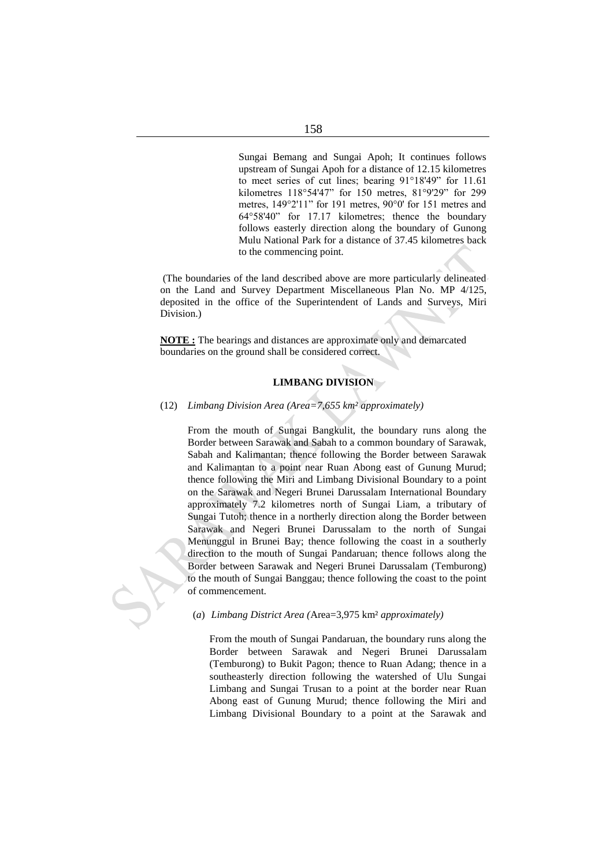Sungai Bemang and Sungai Apoh; It continues follows upstream of Sungai Apoh for a distance of 12.15 kilometres to meet series of cut lines; bearing 91°18'49" for 11.61 kilometres 118°54'47" for 150 metres, 81°9'29" for 299 metres, 149°2'11" for 191 metres, 90°0' for 151 metres and 64°58'40" for 17.17 kilometres; thence the boundary follows easterly direction along the boundary of Gunong Mulu National Park for a distance of 37.45 kilometres back to the commencing point.

(The boundaries of the land described above are more particularly delineated on the Land and Survey Department Miscellaneous Plan No. MP 4/125, deposited in the office of the Superintendent of Lands and Surveys, Miri Division.)

**NOTE :** The bearings and distances are approximate only and demarcated boundaries on the ground shall be considered correct.

# **LIMBANG DIVISION**

#### (12) *Limbang Division Area (Area=7,655 km² approximately)*

From the mouth of Sungai Bangkulit, the boundary runs along the Border between Sarawak and Sabah to a common boundary of Sarawak, Sabah and Kalimantan; thence following the Border between Sarawak and Kalimantan to a point near Ruan Abong east of Gunung Murud; thence following the Miri and Limbang Divisional Boundary to a point on the Sarawak and Negeri Brunei Darussalam International Boundary approximately 7.2 kilometres north of Sungai Liam, a tributary of Sungai Tutoh; thence in a northerly direction along the Border between Sarawak and Negeri Brunei Darussalam to the north of Sungai Menunggul in Brunei Bay; thence following the coast in a southerly direction to the mouth of Sungai Pandaruan; thence follows along the Border between Sarawak and Negeri Brunei Darussalam (Temburong) to the mouth of Sungai Banggau; thence following the coast to the point



#### (*a*) *Limbang District Area (*Area=3,975 km² *approximately)*

From the mouth of Sungai Pandaruan, the boundary runs along the Border between Sarawak and Negeri Brunei Darussalam (Temburong) to Bukit Pagon; thence to Ruan Adang; thence in a southeasterly direction following the watershed of Ulu Sungai Limbang and Sungai Trusan to a point at the border near Ruan Abong east of Gunung Murud; thence following the Miri and Limbang Divisional Boundary to a point at the Sarawak and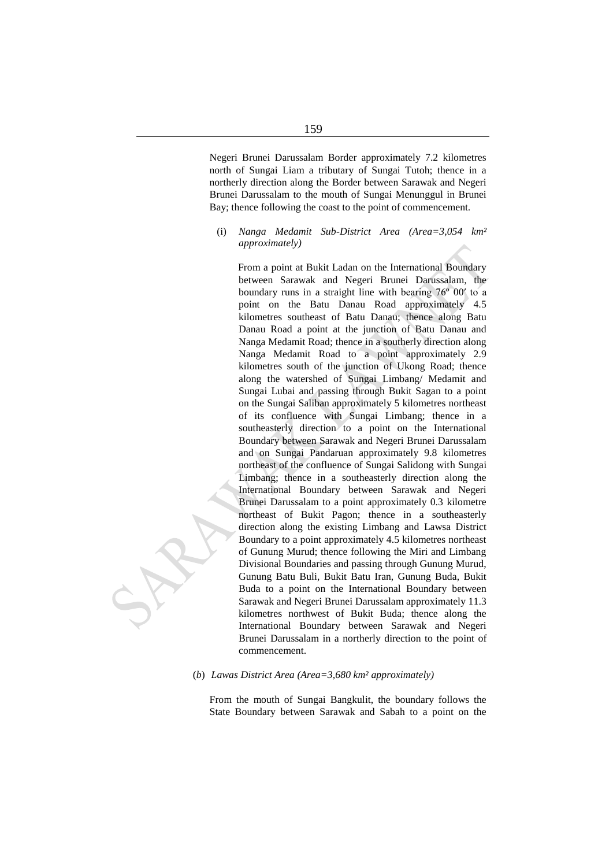Negeri Brunei Darussalam Border approximately 7.2 kilometres north of Sungai Liam a tributary of Sungai Tutoh; thence in a northerly direction along the Border between Sarawak and Negeri Brunei Darussalam to the mouth of Sungai Menunggul in Brunei Bay; thence following the coast to the point of commencement.

(i) *Nanga Medamit Sub-District Area (Area=3,054 km² approximately)*

From a point at Bukit Ladan on the International Boundary between Sarawak and Negeri Brunei Darussalam, the boundary runs in a straight line with bearing 76º 00′ to a point on the Batu Danau Road approximately 4.5 kilometres southeast of Batu Danau; thence along Batu Danau Road a point at the junction of Batu Danau and Nanga Medamit Road; thence in a southerly direction along Nanga Medamit Road to a point approximately 2.9 kilometres south of the junction of Ukong Road; thence along the watershed of Sungai Limbang/ Medamit and Sungai Lubai and passing through Bukit Sagan to a point on the Sungai Saliban approximately 5 kilometres northeast of its confluence with Sungai Limbang; thence in a southeasterly direction to a point on the International Boundary between Sarawak and Negeri Brunei Darussalam and on Sungai Pandaruan approximately 9.8 kilometres northeast of the confluence of Sungai Salidong with Sungai Limbang; thence in a southeasterly direction along the International Boundary between Sarawak and Negeri Brunei Darussalam to a point approximately 0.3 kilometre northeast of Bukit Pagon; thence in a southeasterly direction along the existing Limbang and Lawsa District Boundary to a point approximately 4.5 kilometres northeast of Gunung Murud; thence following the Miri and Limbang Divisional Boundaries and passing through Gunung Murud, Gunung Batu Buli, Bukit Batu Iran, Gunung Buda, Bukit Buda to a point on the International Boundary between Sarawak and Negeri Brunei Darussalam approximately 11.3 kilometres northwest of Bukit Buda; thence along the International Boundary between Sarawak and Negeri Brunei Darussalam in a northerly direction to the point of commencement.

(*b*) *Lawas District Area (Area=3,680 km² approximately)*

From the mouth of Sungai Bangkulit, the boundary follows the State Boundary between Sarawak and Sabah to a point on the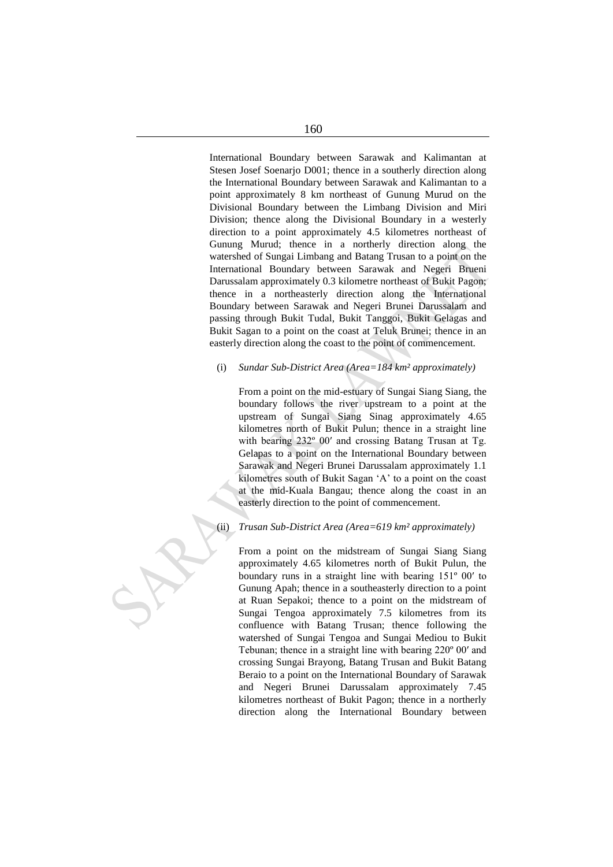International Boundary between Sarawak and Kalimantan at Stesen Josef Soenarjo D001; thence in a southerly direction along the International Boundary between Sarawak and Kalimantan to a point approximately 8 km northeast of Gunung Murud on the Divisional Boundary between the Limbang Division and Miri Division; thence along the Divisional Boundary in a westerly direction to a point approximately 4.5 kilometres northeast of Gunung Murud; thence in a northerly direction along the watershed of Sungai Limbang and Batang Trusan to a point on the International Boundary between Sarawak and Negeri Brueni Darussalam approximately 0.3 kilometre northeast of Bukit Pagon; thence in a northeasterly direction along the International Boundary between Sarawak and Negeri Brunei Darussalam and passing through Bukit Tudal, Bukit Tanggoi, Bukit Gelagas and Bukit Sagan to a point on the coast at Teluk Brunei; thence in an easterly direction along the coast to the point of commencement.

# (i) *Sundar Sub-District Area (Area=184 km² approximately)*

From a point on the mid-estuary of Sungai Siang Siang, the boundary follows the river upstream to a point at the upstream of Sungai Siang Sinag approximately 4.65 kilometres north of Bukit Pulun; thence in a straight line with bearing 232º 00′ and crossing Batang Trusan at Tg. Gelapas to a point on the International Boundary between Sarawak and Negeri Brunei Darussalam approximately 1.1 kilometres south of Bukit Sagan 'A' to a point on the coast at the mid-Kuala Bangau; thence along the coast in an easterly direction to the point of commencement.

# (ii) *Trusan Sub-District Area (Area=619 km² approximately)*

From a point on the midstream of Sungai Siang Siang approximately 4.65 kilometres north of Bukit Pulun, the boundary runs in a straight line with bearing 151º 00′ to Gunung Apah; thence in a southeasterly direction to a point at Ruan Sepakoi; thence to a point on the midstream of Sungai Tengoa approximately 7.5 kilometres from its confluence with Batang Trusan; thence following the watershed of Sungai Tengoa and Sungai Mediou to Bukit Tebunan; thence in a straight line with bearing 220º 00′ and crossing Sungai Brayong, Batang Trusan and Bukit Batang Beraio to a point on the International Boundary of Sarawak and Negeri Brunei Darussalam approximately 7.45 kilometres northeast of Bukit Pagon; thence in a northerly direction along the International Boundary between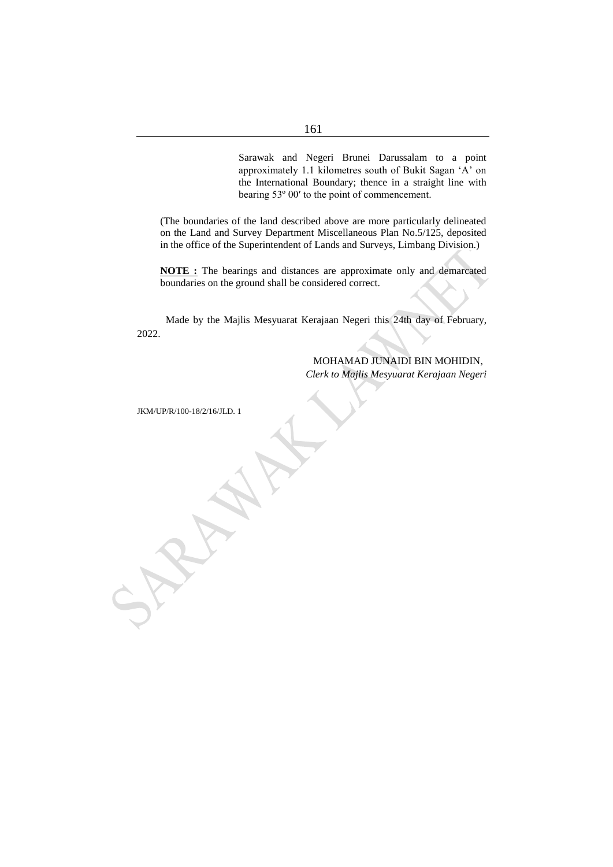Sarawak and Negeri Brunei Darussalam to a point approximately 1.1 kilometres south of Bukit Sagan 'A' on the International Boundary; thence in a straight line with bearing 53º 00′ to the point of commencement.

(The boundaries of the land described above are more particularly delineated on the Land and Survey Department Miscellaneous Plan No.5/125, deposited in the office of the Superintendent of Lands and Surveys, Limbang Division.)

**NOTE :** The bearings and distances are approximate only and demarcated boundaries on the ground shall be considered correct.

Made by the Majlis Mesyuarat Kerajaan Negeri this 24th day of February, 2022.

> MOHAMAD JUNAIDI BIN MOHIDIN, *Clerk to Majlis Mesyuarat Kerajaan Negeri*

JKM/UP/R/100-18/2/16/JLD. 1